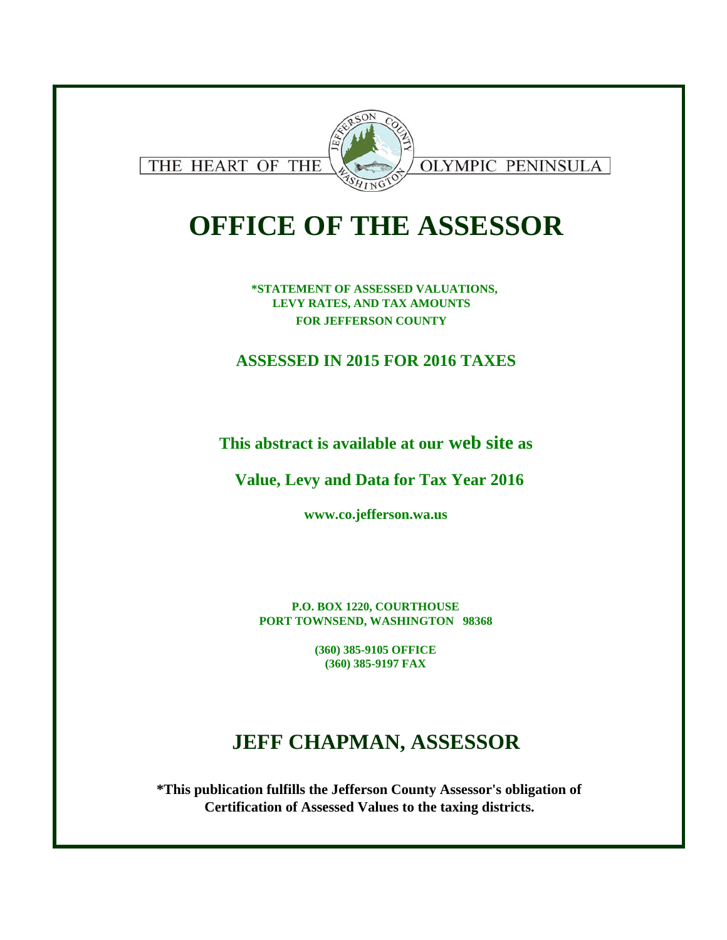

# **OFFICE OF THE ASSESSOR**

**\*STATEMENT OF ASSESSED VALUATIONS, LEVY RATES, AND TAX AMOUNTS FOR JEFFERSON COUNTY** 

### **ASSESSED IN 2015 FOR 2016 TAXES**

**This abstract is available at our web site as**

**Value, Levy and Data for Tax Year 2016**

**www.co.jefferson.wa.us**

**P.O. BOX 1220, COURTHOUSE PORT TOWNSEND, WASHINGTON 98368**

> **(360) 385-9105 OFFICE (360) 385-9197 FAX**

## **JEFF CHAPMAN, ASSESSOR**

**\*This publication fulfills the Jefferson County Assessor's obligation of Certification of Assessed Values to the taxing districts.**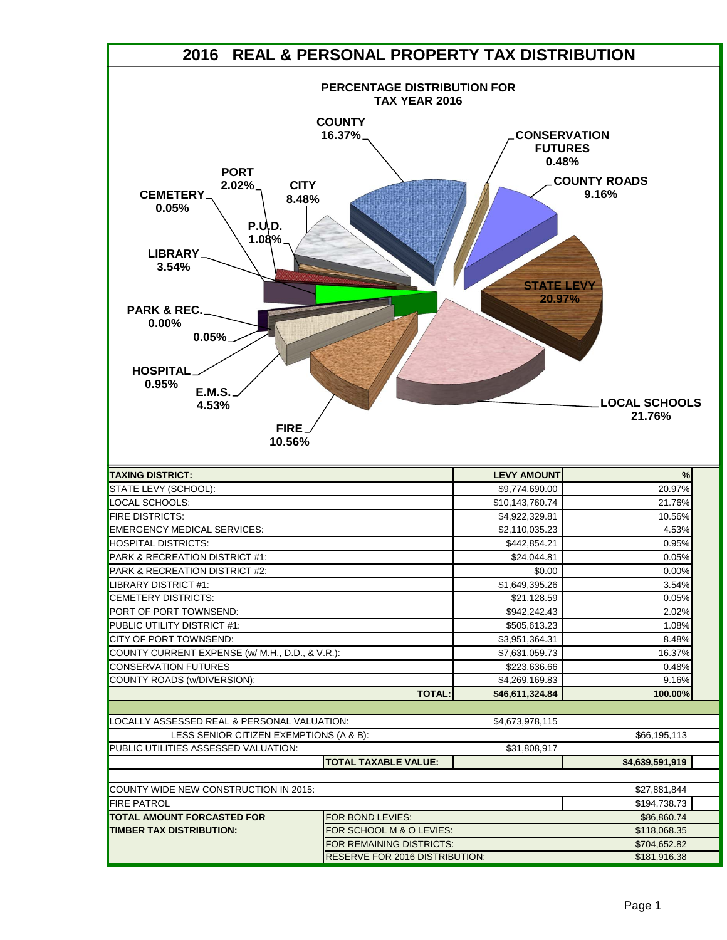|                                                                                                                                                                                                                                                 | 2016 REAL & PERSONAL PROPERTY TAX DISTRIBUTION |                                                                               |                                                                |
|-------------------------------------------------------------------------------------------------------------------------------------------------------------------------------------------------------------------------------------------------|------------------------------------------------|-------------------------------------------------------------------------------|----------------------------------------------------------------|
|                                                                                                                                                                                                                                                 | PERCENTAGE DISTRIBUTION FOR<br>TAX YEAR 2016   |                                                                               |                                                                |
| <b>PORT</b><br><b>CITY</b><br>$2.02\%$<br><b>CEMETERY</b><br>8.48%<br>0.05%<br><b>P.U.D.</b><br>1.08%<br>LIBRARY.<br>3.54%<br><b>PARK &amp; REC.</b><br>0.00%<br>0.05%<br><b>HOSPITAL</b><br>0.95%<br><b>E.M.S.</b><br>4.53%<br>FIRE.<br>10.56% | <b>COUNTY</b><br>16.37%                        | <b>CONSERVATION</b><br><b>FUTURES</b><br>0.48%<br><b>STATE LEVY</b><br>20.97% | <b>COUNTY ROADS</b><br>9.16%<br><b>LOCAL SCHOOLS</b><br>21.76% |
| <b>TAXING DISTRICT:</b>                                                                                                                                                                                                                         |                                                | <b>LEVY AMOUNT</b>                                                            | %                                                              |
| STATE LEVY (SCHOOL):                                                                                                                                                                                                                            |                                                | \$9,774,690.00                                                                | 20.97%                                                         |
| LOCAL SCHOOLS:                                                                                                                                                                                                                                  |                                                | \$10,143,760.74                                                               | 21.76%                                                         |
| <b>FIRE DISTRICTS:</b>                                                                                                                                                                                                                          |                                                | \$4,922,329.81                                                                | 10.56%                                                         |
| <b>EMERGENCY MEDICAL SERVICES:</b>                                                                                                                                                                                                              |                                                | \$2,110,035.23                                                                | 4.53%                                                          |
| <b>HOSPITAL DISTRICTS:</b>                                                                                                                                                                                                                      |                                                | \$442,854.21                                                                  | 0.95%                                                          |
| PARK & RECREATION DISTRICT #1:                                                                                                                                                                                                                  |                                                | \$24,044.81                                                                   | 0.05%                                                          |
| <b>PARK &amp; RECREATION DISTRICT #2:</b>                                                                                                                                                                                                       |                                                | \$0.00                                                                        | 0.00%                                                          |
| LIBRARY DISTRICT #1:                                                                                                                                                                                                                            |                                                | \$1,649,395.26                                                                | 3.54%                                                          |
| <b>CEMETERY DISTRICTS:</b>                                                                                                                                                                                                                      |                                                | \$21,128.59                                                                   | 0.05%                                                          |
| <b>PORT OF PORT TOWNSEND:</b>                                                                                                                                                                                                                   |                                                | \$942,242.43                                                                  | 2.02%                                                          |
| <b>PUBLIC UTILITY DISTRICT #1:</b>                                                                                                                                                                                                              |                                                | \$505,613.23                                                                  | 1.08%                                                          |
| CITY OF PORT TOWNSEND:                                                                                                                                                                                                                          |                                                | \$3,951,364.31                                                                | 8.48%                                                          |
| COUNTY CURRENT EXPENSE (w/ M.H., D.D., & V.R.):                                                                                                                                                                                                 |                                                | \$7,631,059.73                                                                | 16.37%                                                         |
| <b>CONSERVATION FUTURES</b>                                                                                                                                                                                                                     |                                                | \$223,636.66                                                                  | 0.48%                                                          |
| COUNTY ROADS (w/DIVERSION):                                                                                                                                                                                                                     | <b>TOTAL:</b>                                  | \$4,269,169.83<br>\$46,611,324.84                                             | 9.16%<br>100.00%                                               |
|                                                                                                                                                                                                                                                 |                                                |                                                                               |                                                                |
| LOCALLY ASSESSED REAL & PERSONAL VALUATION:                                                                                                                                                                                                     |                                                | \$4,673,978,115                                                               |                                                                |
| LESS SENIOR CITIZEN EXEMPTIONS (A & B):                                                                                                                                                                                                         |                                                |                                                                               | \$66,195,113                                                   |
| PUBLIC UTILITIES ASSESSED VALUATION:                                                                                                                                                                                                            | <b>TOTAL TAXABLE VALUE:</b>                    | \$31,808,917                                                                  | \$4,639,591,919                                                |
|                                                                                                                                                                                                                                                 |                                                |                                                                               |                                                                |
| COUNTY WIDE NEW CONSTRUCTION IN 2015:                                                                                                                                                                                                           |                                                |                                                                               | \$27,881,844                                                   |
| <b>FIRE PATROL</b>                                                                                                                                                                                                                              |                                                |                                                                               | \$194,738.73                                                   |
| <b>TOTAL AMOUNT FORCASTED FOR</b>                                                                                                                                                                                                               | FOR BOND LEVIES:                               |                                                                               | \$86,860.74                                                    |
| <b>TIMBER TAX DISTRIBUTION:</b>                                                                                                                                                                                                                 | FOR SCHOOL M & O LEVIES:                       |                                                                               | \$118,068.35                                                   |
|                                                                                                                                                                                                                                                 |                                                |                                                                               |                                                                |
|                                                                                                                                                                                                                                                 | FOR REMAINING DISTRICTS:                       |                                                                               | \$704,652.82                                                   |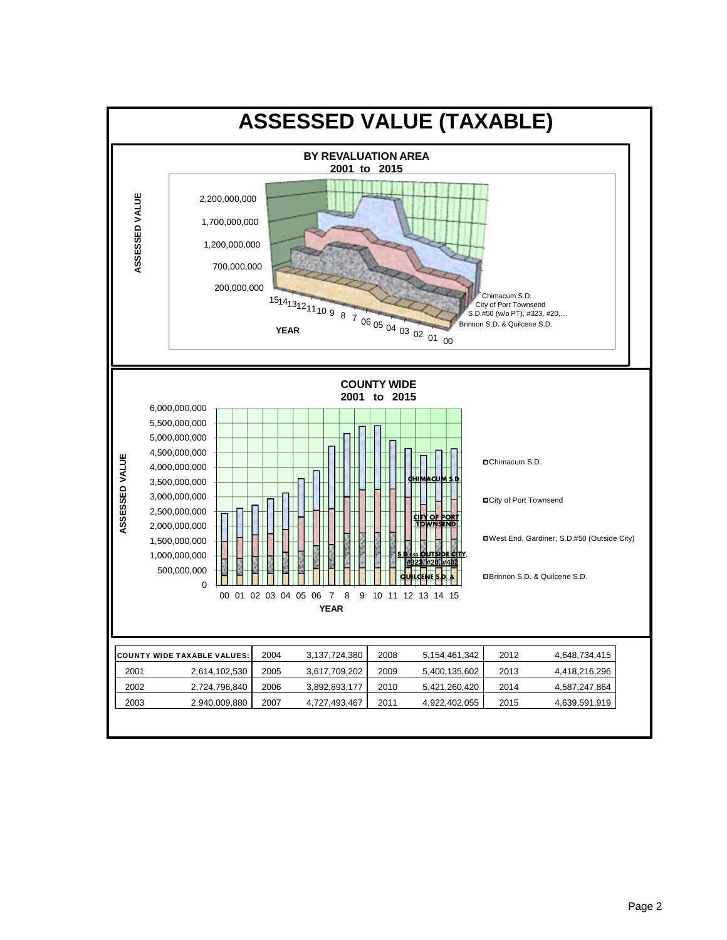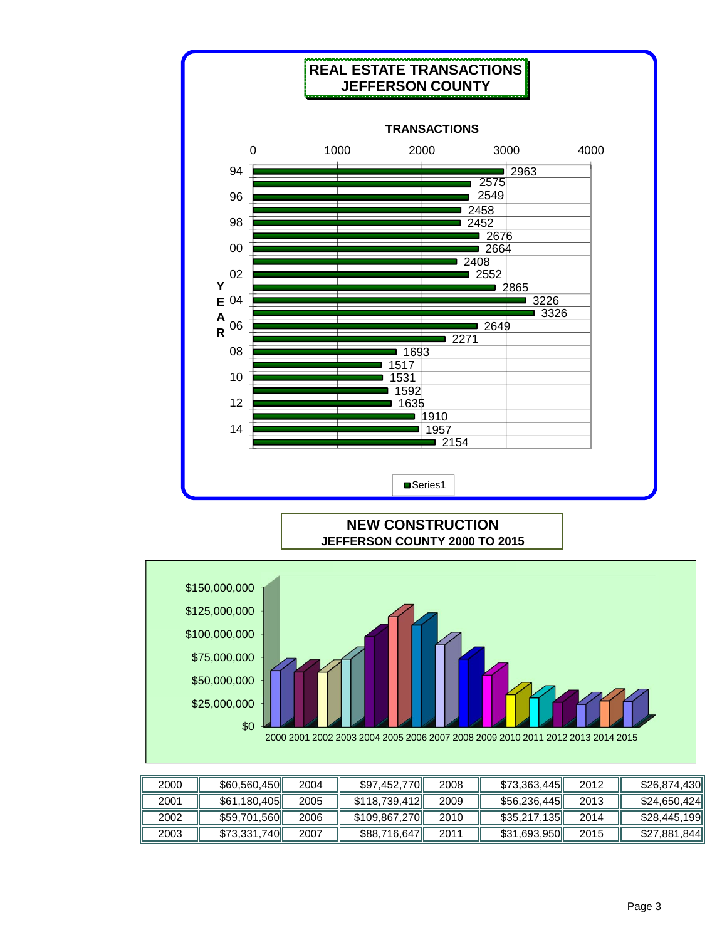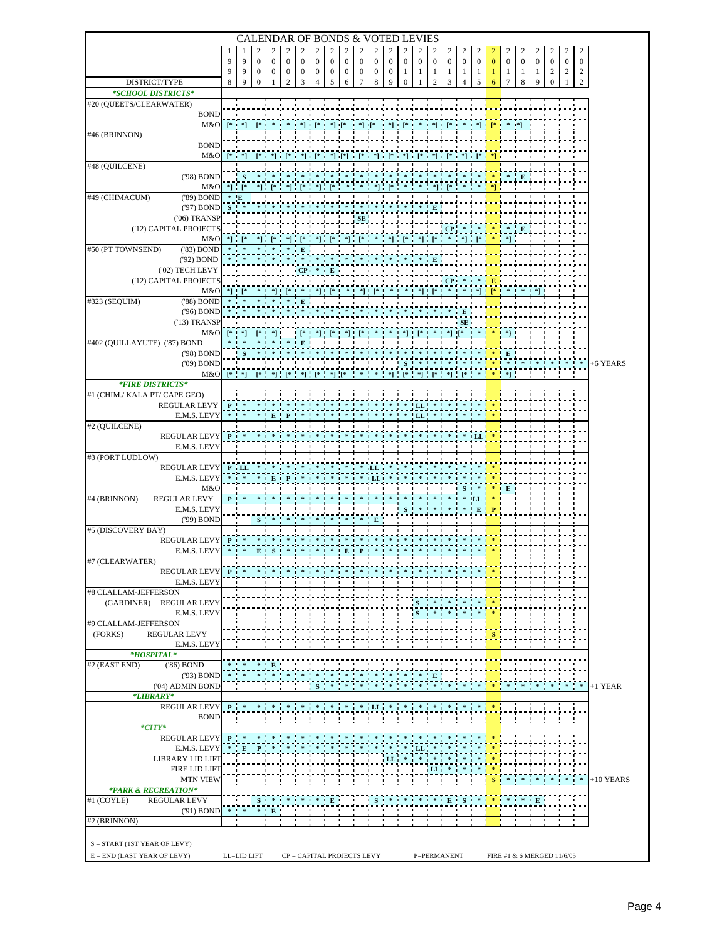|                                                        |   |                                          | <b>CALENDAR OF BONDS &amp; VOTED LEVIES</b>                                                                                                                                                                                                                                           |                                  |                  |                       |                |                  |              |                            |                                                                                                                                                                                                                                                                                                                                   |                   |                   |                       |                                                                                                                                                                                                                                                                                                                                                                                                                             |                         |                   |                                                                                                                                                                                                                                                                                                                     |                                   |                   |                   |                   |                  |                                                                   |                       |             |
|--------------------------------------------------------|---|------------------------------------------|---------------------------------------------------------------------------------------------------------------------------------------------------------------------------------------------------------------------------------------------------------------------------------------|----------------------------------|------------------|-----------------------|----------------|------------------|--------------|----------------------------|-----------------------------------------------------------------------------------------------------------------------------------------------------------------------------------------------------------------------------------------------------------------------------------------------------------------------------------|-------------------|-------------------|-----------------------|-----------------------------------------------------------------------------------------------------------------------------------------------------------------------------------------------------------------------------------------------------------------------------------------------------------------------------------------------------------------------------------------------------------------------------|-------------------------|-------------------|---------------------------------------------------------------------------------------------------------------------------------------------------------------------------------------------------------------------------------------------------------------------------------------------------------------------|-----------------------------------|-------------------|-------------------|-------------------|------------------|-------------------------------------------------------------------|-----------------------|-------------|
|                                                        | 9 | 9                                        | $\boldsymbol{0}$                                                                                                                                                                                                                                                                      | $\mathbf{0}$                     | $\boldsymbol{0}$ | $\boldsymbol{0}$      | $\mathbf{0}$   | $\boldsymbol{0}$ | $\mathbf{0}$ | $\boldsymbol{0}$           | $\boldsymbol{0}$                                                                                                                                                                                                                                                                                                                  | 2<br>$\mathbf{0}$ | 2<br>$\mathbf{0}$ | 2<br>$\boldsymbol{0}$ | 2<br>$\mathbf{0}$                                                                                                                                                                                                                                                                                                                                                                                                           | 2<br>$\mathbf{0}$       | 2<br>$\mathbf{0}$ | 2<br>$\mathbf{0}$                                                                                                                                                                                                                                                                                                   | $\mathbf{0}$                      | 2<br>$\mathbf{0}$ | 2<br>$\mathbf{0}$ | 2<br>$\mathbf{0}$ | $\mathbf{0}$     | 2<br>$\mathbf{0}$                                                 | 2<br>$\boldsymbol{0}$ |             |
|                                                        | 9 | 9                                        | 0                                                                                                                                                                                                                                                                                     | $\bf{0}$                         | $\bf{0}$         | 0                     | $\mathbf{0}$   | $\boldsymbol{0}$ | $\bf{0}$     | 0                          | 0                                                                                                                                                                                                                                                                                                                                 | $\bf{0}$          | 1                 | 1                     | 1                                                                                                                                                                                                                                                                                                                                                                                                                           | -1                      | -1                | -1                                                                                                                                                                                                                                                                                                                  | -1                                | 1                 | 1                 | $\mathbf{1}$      | $\overline{c}$   | $\overline{c}$                                                    | $\overline{c}$        |             |
| DISTRICT/TYPE                                          | 8 | 9                                        | 0                                                                                                                                                                                                                                                                                     | 1                                | $\overline{c}$   | 3                     | $\overline{4}$ | 5                | 6            | 7                          | 8                                                                                                                                                                                                                                                                                                                                 | 9                 | 0                 | 1                     | 2                                                                                                                                                                                                                                                                                                                                                                                                                           | 3                       | $\overline{4}$    | 5                                                                                                                                                                                                                                                                                                                   | 6                                 | 7                 | 8                 | 9                 | $\boldsymbol{0}$ | 1                                                                 | $\overline{c}$        |             |
| *SCHOOL DISTRICTS*                                     |   |                                          |                                                                                                                                                                                                                                                                                       |                                  |                  |                       |                |                  |              |                            |                                                                                                                                                                                                                                                                                                                                   |                   |                   |                       |                                                                                                                                                                                                                                                                                                                                                                                                                             |                         |                   |                                                                                                                                                                                                                                                                                                                     |                                   |                   |                   |                   |                  |                                                                   |                       |             |
| #20 (QUEETS/CLEARWATER)<br><b>BOND</b>                 |   |                                          |                                                                                                                                                                                                                                                                                       |                                  |                  |                       |                |                  |              |                            |                                                                                                                                                                                                                                                                                                                                   |                   |                   |                       |                                                                                                                                                                                                                                                                                                                                                                                                                             |                         |                   |                                                                                                                                                                                                                                                                                                                     |                                   |                   |                   |                   |                  |                                                                   |                       |             |
| M&O                                                    |   | $[$ * $]$ * $]$ $[$                      |                                                                                                                                                                                                                                                                                       |                                  |                  |                       |                |                  |              | *] [*                      |                                                                                                                                                                                                                                                                                                                                   | *] i              |                   |                       |                                                                                                                                                                                                                                                                                                                                                                                                                             |                         |                   |                                                                                                                                                                                                                                                                                                                     |                                   |                   |                   |                   |                  |                                                                   |                       |             |
| #46 (BRINNON)                                          |   |                                          |                                                                                                                                                                                                                                                                                       |                                  |                  |                       |                |                  |              |                            |                                                                                                                                                                                                                                                                                                                                   |                   |                   |                       |                                                                                                                                                                                                                                                                                                                                                                                                                             |                         |                   |                                                                                                                                                                                                                                                                                                                     |                                   |                   |                   |                   |                  |                                                                   |                       |             |
| <b>BOND</b><br>M&O                                     |   |                                          |                                                                                                                                                                                                                                                                                       |                                  |                  |                       |                |                  | *] [*]       |                            |                                                                                                                                                                                                                                                                                                                                   | *] [*             |                   | $*$ $*$ $*$ $*$       | $\mathbf{F}$                                                                                                                                                                                                                                                                                                                                                                                                                |                         |                   |                                                                                                                                                                                                                                                                                                                     |                                   |                   |                   |                   |                  |                                                                   |                       |             |
| #48 (QUILCENE)                                         |   |                                          |                                                                                                                                                                                                                                                                                       |                                  |                  |                       |                |                  |              |                            |                                                                                                                                                                                                                                                                                                                                   |                   |                   |                       |                                                                                                                                                                                                                                                                                                                                                                                                                             |                         |                   |                                                                                                                                                                                                                                                                                                                     |                                   |                   |                   |                   |                  |                                                                   |                       |             |
| ('98) BOND                                             |   | ${\bf S}$                                |                                                                                                                                                                                                                                                                                       |                                  |                  |                       |                |                  |              |                            |                                                                                                                                                                                                                                                                                                                                   |                   |                   |                       |                                                                                                                                                                                                                                                                                                                                                                                                                             |                         |                   |                                                                                                                                                                                                                                                                                                                     |                                   |                   |                   |                   |                  |                                                                   |                       |             |
| M&O<br>#49 (CHIMACUM)<br>('89) BOND                    |   |                                          | [한] 은 [하는 하] 은 [하는 하] 은 [하는 하는 하는 하는 하는 [하는 하는 하는 하는 [하는                                                                                                                                                                                                                              |                                  |                  |                       |                |                  |              |                            |                                                                                                                                                                                                                                                                                                                                   |                   |                   |                       |                                                                                                                                                                                                                                                                                                                                                                                                                             |                         | - 1               | - 1                                                                                                                                                                                                                                                                                                                 | $\mathbf{F}$                      |                   |                   |                   |                  |                                                                   |                       |             |
| ('97) BOND                                             | S |                                          |                                                                                                                                                                                                                                                                                       |                                  |                  |                       |                |                  |              |                            |                                                                                                                                                                                                                                                                                                                                   |                   |                   |                       |                                                                                                                                                                                                                                                                                                                                                                                                                             |                         |                   |                                                                                                                                                                                                                                                                                                                     |                                   |                   |                   |                   |                  |                                                                   |                       |             |
| $(06)$ TRANSP                                          |   |                                          |                                                                                                                                                                                                                                                                                       |                                  |                  |                       |                |                  |              | $\mathbf{SE}$              |                                                                                                                                                                                                                                                                                                                                   |                   |                   |                       |                                                                                                                                                                                                                                                                                                                                                                                                                             |                         |                   |                                                                                                                                                                                                                                                                                                                     |                                   |                   |                   |                   |                  |                                                                   |                       |             |
| ('12) CAPITAL PROJECTS                                 |   |                                          |                                                                                                                                                                                                                                                                                       |                                  |                  |                       |                |                  |              |                            |                                                                                                                                                                                                                                                                                                                                   |                   |                   |                       |                                                                                                                                                                                                                                                                                                                                                                                                                             | CP                      |                   |                                                                                                                                                                                                                                                                                                                     |                                   |                   | E                 |                   |                  |                                                                   |                       |             |
| M&O<br>#50 (PT TOWNSEND)<br>$(83)$ BOND                |   |                                          |                                                                                                                                                                                                                                                                                       |                                  |                  | ${\bf E}$             |                |                  |              |                            |                                                                                                                                                                                                                                                                                                                                   |                   |                   |                       |                                                                                                                                                                                                                                                                                                                                                                                                                             |                         |                   | $*$ $*$ $*$ $*$                                                                                                                                                                                                                                                                                                     |                                   | *] :              |                   |                   |                  |                                                                   |                       |             |
| ('92) BOND                                             |   |                                          |                                                                                                                                                                                                                                                                                       |                                  |                  | $\mathcal{H}^{\pm}$ . |                | - ※ 三 ※          |              |                            |                                                                                                                                                                                                                                                                                                                                   |                   |                   |                       | E                                                                                                                                                                                                                                                                                                                                                                                                                           |                         |                   |                                                                                                                                                                                                                                                                                                                     |                                   |                   |                   |                   |                  |                                                                   |                       |             |
| ('02) TECH LEVY                                        |   |                                          |                                                                                                                                                                                                                                                                                       |                                  |                  |                       | $CP$ $*$ $E$   |                  |              |                            |                                                                                                                                                                                                                                                                                                                                   |                   |                   |                       |                                                                                                                                                                                                                                                                                                                                                                                                                             |                         |                   |                                                                                                                                                                                                                                                                                                                     |                                   |                   |                   |                   |                  |                                                                   |                       |             |
| ('12) CAPITAL PROJECTS<br>M&O                          |   | *] [*                                    |                                                                                                                                                                                                                                                                                       |                                  |                  |                       |                |                  | $\ast$ .     |                            | ™™™                                                                                                                                                                                                                                                                                                                               |                   | $\sim$ $\sim$     |                       | $*$ $*$                                                                                                                                                                                                                                                                                                                                                                                                                     | CP                      |                   | $\frac{1}{2}$ $\frac{1}{2}$ $\frac{1}{2}$ $\frac{1}{2}$ $\frac{1}{2}$ $\frac{1}{2}$ $\frac{1}{2}$ $\frac{1}{2}$ $\frac{1}{2}$ $\frac{1}{2}$ $\frac{1}{2}$ $\frac{1}{2}$ $\frac{1}{2}$ $\frac{1}{2}$ $\frac{1}{2}$ $\frac{1}{2}$ $\frac{1}{2}$ $\frac{1}{2}$ $\frac{1}{2}$ $\frac{1}{2}$ $\frac{1}{2}$ $\frac{1}{2}$ | *] = [* =                         |                   |                   |                   |                  |                                                                   |                       |             |
| #323 (SEQUIM)<br>('88) BOND                            |   |                                          |                                                                                                                                                                                                                                                                                       |                                  |                  | ${\bf E}$             |                |                  |              |                            |                                                                                                                                                                                                                                                                                                                                   |                   |                   |                       |                                                                                                                                                                                                                                                                                                                                                                                                                             |                         |                   |                                                                                                                                                                                                                                                                                                                     |                                   |                   |                   |                   |                  |                                                                   |                       |             |
| ('96) BOND                                             |   |                                          |                                                                                                                                                                                                                                                                                       |                                  |                  |                       |                |                  |              |                            |                                                                                                                                                                                                                                                                                                                                   |                   |                   |                       |                                                                                                                                                                                                                                                                                                                                                                                                                             |                         |                   | *   E                                                                                                                                                                                                                                                                                                               |                                   |                   |                   |                   |                  |                                                                   |                       |             |
| $(13)$ TRANSP<br>M&O                                   |   | $[$ *   *] $[$ *                         |                                                                                                                                                                                                                                                                                       |                                  |                  |                       |                |                  |              |                            | $\left[\begin{array}{cc} \ast & \vdots & \ast \end{array}\right] \left[\begin{array}{cc} \ast & \vdots & \ast \end{array}\right] \left[\begin{array}{cc} \ast & \vdots & \ast \end{array}\right] \left[\begin{array}{cc} \ast & \vdots & \ast \end{array}\right] \left[\begin{array}{cc} \ast & \vdots & \ast \end{array}\right]$ |                   |                   |                       |                                                                                                                                                                                                                                                                                                                                                                                                                             | $*$ $*$ $*$ $*$ $*$ $*$ | $\mathbf{SE}$     |                                                                                                                                                                                                                                                                                                                     |                                   | *   *   *         |                   |                   |                  |                                                                   |                       |             |
| #402 (QUILLAYUTE) ('87) BOND                           |   |                                          |                                                                                                                                                                                                                                                                                       |                                  |                  |                       |                |                  |              |                            |                                                                                                                                                                                                                                                                                                                                   |                   |                   |                       |                                                                                                                                                                                                                                                                                                                                                                                                                             |                         |                   |                                                                                                                                                                                                                                                                                                                     |                                   |                   |                   |                   |                  |                                                                   |                       |             |
| ('98) BOND                                             |   | S                                        |                                                                                                                                                                                                                                                                                       |                                  |                  |                       |                |                  |              |                            |                                                                                                                                                                                                                                                                                                                                   |                   | $\ast$            | $\ast$                |                                                                                                                                                                                                                                                                                                                                                                                                                             |                         |                   |                                                                                                                                                                                                                                                                                                                     |                                   |                   |                   |                   |                  |                                                                   |                       |             |
| $(09)$ BOND                                            |   |                                          |                                                                                                                                                                                                                                                                                       |                                  |                  |                       |                |                  |              |                            |                                                                                                                                                                                                                                                                                                                                   |                   |                   |                       |                                                                                                                                                                                                                                                                                                                                                                                                                             |                         |                   |                                                                                                                                                                                                                                                                                                                     |                                   |                   |                   |                   |                  |                                                                   |                       | +6 YEARS    |
| M&O<br><i><b>*FIRE DISTRICTS*</b></i>                  |   |                                          | $\left[\begin{smallmatrix} 0&1&0&0\\ 0&1&0&0 \end{smallmatrix}\right] \left[\begin{smallmatrix} 0&1&0&0\\ 0&1&0&0 \end{smallmatrix}\right] \left[\begin{smallmatrix} 0&1&0&0\\ 0&1&0&0 \end{smallmatrix}\right] \left[\begin{smallmatrix} 0&1&0&0\\ 0&1&0&0 \end{smallmatrix}\right]$ |                                  |                  |                       |                | *][*             |              |                            |                                                                                                                                                                                                                                                                                                                                   |                   |                   |                       |                                                                                                                                                                                                                                                                                                                                                                                                                             |                         |                   |                                                                                                                                                                                                                                                                                                                     |                                   | $*$ $*$ $*$       |                   |                   |                  |                                                                   |                       |             |
| #1 (CHIM./ KALA PT/ CAPE GEO)                          |   |                                          |                                                                                                                                                                                                                                                                                       |                                  |                  |                       |                |                  |              |                            |                                                                                                                                                                                                                                                                                                                                   |                   |                   |                       |                                                                                                                                                                                                                                                                                                                                                                                                                             |                         |                   |                                                                                                                                                                                                                                                                                                                     |                                   |                   |                   |                   |                  |                                                                   |                       |             |
| <b>REGULAR LEVY</b>                                    | P |                                          |                                                                                                                                                                                                                                                                                       |                                  |                  |                       |                |                  |              |                            |                                                                                                                                                                                                                                                                                                                                   |                   |                   | LL                    |                                                                                                                                                                                                                                                                                                                                                                                                                             |                         |                   |                                                                                                                                                                                                                                                                                                                     |                                   |                   |                   |                   |                  |                                                                   |                       |             |
| E.M.S. LEVY<br>#2 (QUILCENE)                           |   |                                          |                                                                                                                                                                                                                                                                                       |                                  | $E \nvert P$     |                       |                |                  |              |                            |                                                                                                                                                                                                                                                                                                                                   |                   |                   | $*$ LL                |                                                                                                                                                                                                                                                                                                                                                                                                                             |                         |                   |                                                                                                                                                                                                                                                                                                                     |                                   |                   |                   |                   |                  |                                                                   |                       |             |
| <b>REGULAR LEVY</b>                                    | P |                                          |                                                                                                                                                                                                                                                                                       |                                  |                  |                       |                |                  |              |                            |                                                                                                                                                                                                                                                                                                                                   |                   |                   |                       |                                                                                                                                                                                                                                                                                                                                                                                                                             |                         |                   | <b>Quantu Quantu Quantu di manusi manusi manusi manusi manusi manusi</b><br>$*$ [LL]                                                                                                                                                                                                                                |                                   |                   |                   |                   |                  |                                                                   |                       |             |
| E.M.S. LEVY                                            |   |                                          |                                                                                                                                                                                                                                                                                       |                                  |                  |                       |                |                  |              |                            |                                                                                                                                                                                                                                                                                                                                   |                   |                   |                       |                                                                                                                                                                                                                                                                                                                                                                                                                             |                         |                   |                                                                                                                                                                                                                                                                                                                     |                                   |                   |                   |                   |                  |                                                                   |                       |             |
| #3 (PORT LUDLOW)<br><b>REGULAR LEVY</b>                |   |                                          |                                                                                                                                                                                                                                                                                       |                                  |                  |                       |                |                  |              |                            |                                                                                                                                                                                                                                                                                                                                   |                   |                   |                       |                                                                                                                                                                                                                                                                                                                                                                                                                             |                         |                   |                                                                                                                                                                                                                                                                                                                     |                                   |                   |                   |                   |                  |                                                                   |                       |             |
| E.M.S. LEVY                                            |   |                                          |                                                                                                                                                                                                                                                                                       |                                  |                  |                       |                |                  |              |                            |                                                                                                                                                                                                                                                                                                                                   |                   |                   |                       |                                                                                                                                                                                                                                                                                                                                                                                                                             |                         |                   |                                                                                                                                                                                                                                                                                                                     |                                   |                   |                   |                   |                  |                                                                   |                       |             |
| M&O                                                    |   |                                          |                                                                                                                                                                                                                                                                                       |                                  |                  |                       |                |                  |              |                            |                                                                                                                                                                                                                                                                                                                                   |                   |                   |                       |                                                                                                                                                                                                                                                                                                                                                                                                                             |                         |                   |                                                                                                                                                                                                                                                                                                                     |                                   | $*$ E             |                   |                   |                  |                                                                   |                       |             |
| #4 (BRINNON)<br><b>REGULAR LEVY</b><br>E.M.S. LEVY     |   | $P$ *                                    |                                                                                                                                                                                                                                                                                       |                                  |                  |                       |                |                  |              | *                          | *<br>ຕົ້ນມານານຕົ້ນມານານຕົ້ນມານານນັ້ນມານານາ                                                                                                                                                                                                                                                                                        |                   | $\ast$<br>s       | $\ast$                |                                                                                                                                                                                                                                                                                                                                                                                                                             |                         |                   | $*$ LL $\vdots$<br>$E$   $P$                                                                                                                                                                                                                                                                                        |                                   |                   |                   |                   |                  |                                                                   |                       |             |
| ('99) BOND                                             |   |                                          |                                                                                                                                                                                                                                                                                       |                                  |                  |                       |                |                  |              |                            | Е                                                                                                                                                                                                                                                                                                                                 |                   |                   |                       |                                                                                                                                                                                                                                                                                                                                                                                                                             |                         |                   |                                                                                                                                                                                                                                                                                                                     |                                   |                   |                   |                   |                  |                                                                   |                       |             |
| #5 (DISCOVERY BAY)                                     |   |                                          | $\mathbf{P}$ $\uparrow$ $\uparrow$ $\uparrow$                                                                                                                                                                                                                                         |                                  |                  |                       |                |                  |              |                            |                                                                                                                                                                                                                                                                                                                                   |                   |                   |                       |                                                                                                                                                                                                                                                                                                                                                                                                                             |                         |                   |                                                                                                                                                                                                                                                                                                                     |                                   |                   |                   |                   |                  |                                                                   |                       |             |
| <b>REGULAR LEVY</b><br>E.M.S. LEVY                     |   |                                          |                                                                                                                                                                                                                                                                                       |                                  |                  |                       |                |                  |              |                            | 医甲基甲基 医直直 医半导管 医半导管炎                                                                                                                                                                                                                                                                                                              |                   |                   |                       |                                                                                                                                                                                                                                                                                                                                                                                                                             |                         |                   |                                                                                                                                                                                                                                                                                                                     |                                   |                   |                   |                   |                  |                                                                   |                       |             |
| #7 (CLEARWATER)                                        |   |                                          |                                                                                                                                                                                                                                                                                       |                                  |                  |                       |                |                  |              |                            |                                                                                                                                                                                                                                                                                                                                   |                   |                   |                       |                                                                                                                                                                                                                                                                                                                                                                                                                             |                         |                   |                                                                                                                                                                                                                                                                                                                     |                                   |                   |                   |                   |                  |                                                                   |                       |             |
| <b>REGULAR LEVY</b>                                    | P | $\overline{\mathbf{p}}$ : $\ast$ :       |                                                                                                                                                                                                                                                                                       |                                  |                  |                       |                |                  |              |                            |                                                                                                                                                                                                                                                                                                                                   |                   |                   |                       |                                                                                                                                                                                                                                                                                                                                                                                                                             |                         |                   |                                                                                                                                                                                                                                                                                                                     |                                   |                   |                   |                   |                  |                                                                   |                       |             |
| E.M.S. LEVY<br>#8 CLALLAM-JEFFERSON                    |   |                                          |                                                                                                                                                                                                                                                                                       |                                  |                  |                       |                |                  |              |                            |                                                                                                                                                                                                                                                                                                                                   |                   |                   |                       |                                                                                                                                                                                                                                                                                                                                                                                                                             |                         |                   |                                                                                                                                                                                                                                                                                                                     |                                   |                   |                   |                   |                  |                                                                   |                       |             |
| (GARDINER) REGULAR LEVY                                |   |                                          |                                                                                                                                                                                                                                                                                       |                                  |                  |                       |                |                  |              |                            |                                                                                                                                                                                                                                                                                                                                   |                   |                   | $\mathbf{S}$          |                                                                                                                                                                                                                                                                                                                                                                                                                             |                         |                   |                                                                                                                                                                                                                                                                                                                     |                                   |                   |                   |                   |                  |                                                                   |                       |             |
| E.M.S. LEVY                                            |   |                                          |                                                                                                                                                                                                                                                                                       |                                  |                  |                       |                |                  |              |                            |                                                                                                                                                                                                                                                                                                                                   |                   |                   | S                     |                                                                                                                                                                                                                                                                                                                                                                                                                             |                         |                   |                                                                                                                                                                                                                                                                                                                     | 一家                                |                   |                   |                   |                  |                                                                   |                       |             |
| #9 CLALLAM-JEFFERSON<br>(FORKS)<br><b>REGULAR LEVY</b> |   |                                          |                                                                                                                                                                                                                                                                                       |                                  |                  |                       |                |                  |              |                            |                                                                                                                                                                                                                                                                                                                                   |                   |                   |                       |                                                                                                                                                                                                                                                                                                                                                                                                                             |                         |                   |                                                                                                                                                                                                                                                                                                                     | muni <mark>mumum</mark>           |                   |                   |                   |                  |                                                                   |                       |             |
| E.M.S. LEVY                                            |   |                                          |                                                                                                                                                                                                                                                                                       |                                  |                  |                       |                |                  |              |                            |                                                                                                                                                                                                                                                                                                                                   |                   |                   |                       |                                                                                                                                                                                                                                                                                                                                                                                                                             |                         |                   |                                                                                                                                                                                                                                                                                                                     | s<br>miðmunna                     |                   |                   |                   |                  |                                                                   |                       |             |
| *HOSPITAL*                                             |   |                                          |                                                                                                                                                                                                                                                                                       |                                  |                  |                       |                |                  |              |                            |                                                                                                                                                                                                                                                                                                                                   |                   |                   |                       |                                                                                                                                                                                                                                                                                                                                                                                                                             |                         |                   |                                                                                                                                                                                                                                                                                                                     |                                   |                   |                   |                   |                  |                                                                   |                       |             |
| #2 (EAST END)<br>$(86)$ BOND                           |   | $*$ $*$ $*$<br>$\mathbf{x}$ $\mathbf{x}$ |                                                                                                                                                                                                                                                                                       | $*$ E<br>omoj<br>ստա∄ստա<br>* :* |                  |                       |                |                  | $\ast$       | *                          | *                                                                                                                                                                                                                                                                                                                                 | *                 |                   | * *                   | $\bf E$                                                                                                                                                                                                                                                                                                                                                                                                                     |                         |                   |                                                                                                                                                                                                                                                                                                                     |                                   |                   |                   |                   |                  |                                                                   |                       |             |
| ('93) BOND<br>('04) ADMIN BOND                         |   |                                          |                                                                                                                                                                                                                                                                                       |                                  |                  |                       | S              |                  |              |                            |                                                                                                                                                                                                                                                                                                                                   |                   |                   |                       |                                                                                                                                                                                                                                                                                                                                                                                                                             | Ï<br>$\ast$             | *                 | $\ast$                                                                                                                                                                                                                                                                                                              | $\ast$                            | *                 | *                 | *                 | $\ast$           | $\begin{array}{cccccccccc} \ast & \ast & \ast & \ast \end{array}$ |                       | $+1$ YEAR   |
| *LIBRARY*                                              |   |                                          |                                                                                                                                                                                                                                                                                       |                                  |                  |                       |                |                  |              |                            |                                                                                                                                                                                                                                                                                                                                   |                   |                   |                       |                                                                                                                                                                                                                                                                                                                                                                                                                             |                         |                   |                                                                                                                                                                                                                                                                                                                     |                                   |                   |                   |                   |                  |                                                                   |                       |             |
| <b>REGULAR LEVY</b>                                    |   | $P$ $*$                                  |                                                                                                                                                                                                                                                                                       | * * * *                          | $\bullet$        | $\sim$ $-$            | $\mathbf{A}$   |                  |              |                            | $\begin{array}{cccccccccccccc} * & * & * & * & * & * & * & * & * & * \end{array}$                                                                                                                                                                                                                                                 |                   |                   |                       |                                                                                                                                                                                                                                                                                                                                                                                                                             |                         |                   |                                                                                                                                                                                                                                                                                                                     |                                   |                   |                   |                   |                  |                                                                   |                       |             |
| <b>BOND</b><br>$*CITY*$                                |   |                                          |                                                                                                                                                                                                                                                                                       |                                  |                  |                       |                |                  |              |                            |                                                                                                                                                                                                                                                                                                                                   |                   |                   |                       |                                                                                                                                                                                                                                                                                                                                                                                                                             |                         |                   |                                                                                                                                                                                                                                                                                                                     |                                   |                   |                   |                   |                  |                                                                   |                       |             |
| <b>REGULAR LEVY</b>                                    |   | $P$ *                                    |                                                                                                                                                                                                                                                                                       |                                  |                  |                       |                |                  | *            |                            |                                                                                                                                                                                                                                                                                                                                   | *                 |                   |                       |                                                                                                                                                                                                                                                                                                                                                                                                                             |                         |                   |                                                                                                                                                                                                                                                                                                                     | *                                 |                   |                   |                   |                  |                                                                   |                       |             |
| E.M.S. LEVY                                            |   | $*$ $E$                                  | P                                                                                                                                                                                                                                                                                     |                                  |                  |                       |                | *                | *            | *                          | *                                                                                                                                                                                                                                                                                                                                 | ÷<br>*<br>        |                   | $*$ LL:               | unungunungunungunun                                                                                                                                                                                                                                                                                                                                                                                                         |                         |                   |                                                                                                                                                                                                                                                                                                                     |                                   |                   |                   |                   |                  |                                                                   |                       |             |
| <b>LIBRARY LID LIFT</b><br><b>FIRE LID LIFT</b>        |   |                                          |                                                                                                                                                                                                                                                                                       |                                  |                  |                       |                |                  |              |                            |                                                                                                                                                                                                                                                                                                                                   | LL <br>ភ្នំភ្ន    |                   |                       | $\# \left[ -\frac{1}{2} - \frac{1}{2} - \frac{1}{2} - \frac{1}{2} - \frac{1}{2} - \frac{1}{2} - \frac{1}{2} - \frac{1}{2} - \frac{1}{2} - \frac{1}{2} - \frac{1}{2} - \frac{1}{2} - \frac{1}{2} - \frac{1}{2} - \frac{1}{2} - \frac{1}{2} - \frac{1}{2} - \frac{1}{2} - \frac{1}{2} - \frac{1}{2} - \frac{1}{2} - \frac{1}{2} - \frac{1}{2} - \frac{1}{2} - \frac{1}{2} - \frac{1}{2} - \frac{1}{2$<br>mminnumi<br>$LL$ $*$ |                         |                   | *<br>÷1                                                                                                                                                                                                                                                                                                             | 率                                 |                   |                   |                   |                  |                                                                   |                       |             |
| <b>MTN VIEW</b>                                        |   |                                          |                                                                                                                                                                                                                                                                                       |                                  |                  |                       |                |                  |              |                            |                                                                                                                                                                                                                                                                                                                                   |                   |                   |                       |                                                                                                                                                                                                                                                                                                                                                                                                                             |                         |                   |                                                                                                                                                                                                                                                                                                                     | mani <mark>namani</mark><br>$S^+$ | $\ast$            | $\ast$            | $\ast$<br>÷       | ÷<br>$\pm$ .     |                                                                   | $\pm$ $\pm$           | $+10$ YEARS |
| *PARK & RECREATION*                                    |   |                                          |                                                                                                                                                                                                                                                                                       |                                  |                  |                       |                |                  |              |                            |                                                                                                                                                                                                                                                                                                                                   |                   |                   |                       |                                                                                                                                                                                                                                                                                                                                                                                                                             |                         |                   |                                                                                                                                                                                                                                                                                                                     |                                   |                   |                   |                   |                  |                                                                   |                       |             |
| #1 (COYLE)<br><b>REGULAR LEVY</b><br>$(91)$ BOND       |   | $\ddot{\cdot}$                           |                                                                                                                                                                                                                                                                                       | $S^*$<br>$*$ $E$                 |                  |                       | $\ast$         | ĵ<br>E           |              |                            | $\bf{s}$                                                                                                                                                                                                                                                                                                                          |                   |                   |                       | 多小                                                                                                                                                                                                                                                                                                                                                                                                                          |                         | $E \mid S$        | $*$ :                                                                                                                                                                                                                                                                                                               | $\left\Vert \Phi\right\Vert$      | $\ast$ :          | *                 | Ŧ<br>E            |                  |                                                                   |                       |             |
| #2 (BRINNON)                                           |   |                                          |                                                                                                                                                                                                                                                                                       |                                  |                  |                       |                |                  |              |                            |                                                                                                                                                                                                                                                                                                                                   |                   |                   |                       |                                                                                                                                                                                                                                                                                                                                                                                                                             |                         |                   |                                                                                                                                                                                                                                                                                                                     |                                   |                   |                   |                   |                  |                                                                   |                       |             |
|                                                        |   |                                          |                                                                                                                                                                                                                                                                                       |                                  |                  |                       |                |                  |              |                            |                                                                                                                                                                                                                                                                                                                                   |                   |                   |                       |                                                                                                                                                                                                                                                                                                                                                                                                                             |                         |                   |                                                                                                                                                                                                                                                                                                                     |                                   |                   |                   |                   |                  |                                                                   |                       |             |
| S = START (1ST YEAR OF LEVY)                           |   |                                          |                                                                                                                                                                                                                                                                                       |                                  |                  |                       |                |                  |              |                            |                                                                                                                                                                                                                                                                                                                                   |                   |                   |                       |                                                                                                                                                                                                                                                                                                                                                                                                                             |                         |                   |                                                                                                                                                                                                                                                                                                                     |                                   |                   |                   |                   |                  |                                                                   |                       |             |
| $E = END$ (LAST YEAR OF LEVY)                          |   |                                          | LL=LID LIFT                                                                                                                                                                                                                                                                           |                                  |                  |                       |                |                  |              | CP = CAPITAL PROJECTS LEVY |                                                                                                                                                                                                                                                                                                                                   |                   |                   |                       | P=PERMANENT                                                                                                                                                                                                                                                                                                                                                                                                                 |                         |                   |                                                                                                                                                                                                                                                                                                                     |                                   |                   |                   |                   |                  | FIRE #1 & 6 MERGED 11/6/05                                        |                       |             |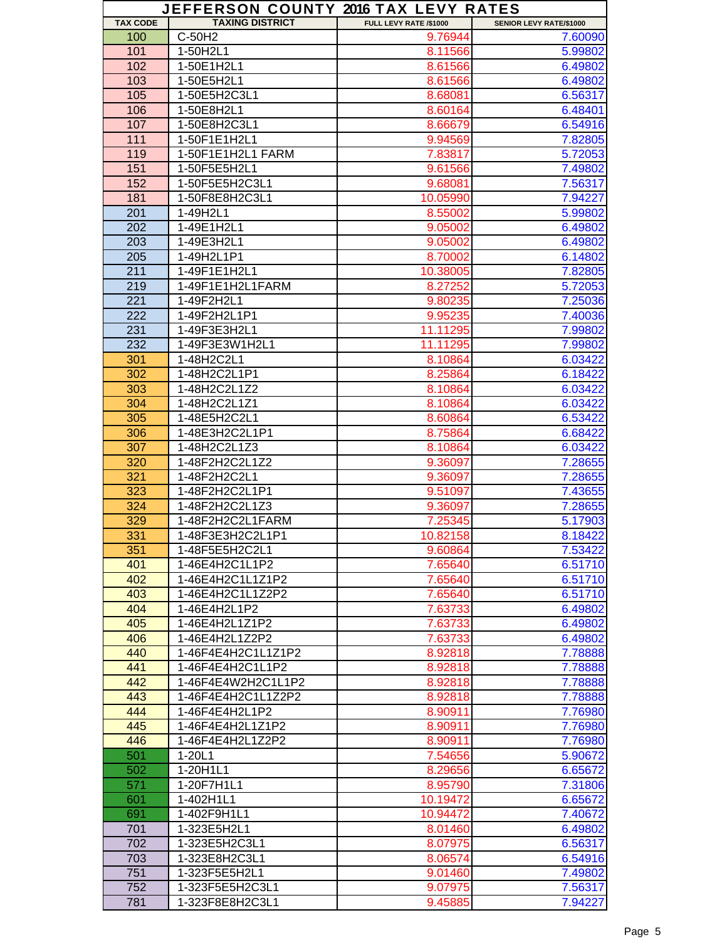|                 | JEFFERSON COUNTY 2016 TAX LEVY RATES |                        |                         |
|-----------------|--------------------------------------|------------------------|-------------------------|
| <b>TAX CODE</b> | <b>TAXING DISTRICT</b>               | FULL LEVY RATE /\$1000 | SENIOR LEVY RATE/\$1000 |
| 100             | C-50H2                               | 9.76944                | 7.60090                 |
| 101             | 1-50H2L1                             | 8.11566                | 5.99802                 |
| 102             | 1-50E1H2L1                           | 8.61566                | 6.49802                 |
| 103             | 1-50E5H2L1                           | 8.61566                | 6.49802                 |
| 105             | 1-50E5H2C3L1                         | 8.68081                | 6.56317                 |
| 106             | 1-50E8H2L1                           | 8.60164                | 6.48401                 |
| 107             | 1-50E8H2C3L1                         | 8.66679                | 6.54916                 |
| 111             | 1-50F1E1H2L1                         | 9.94569                | 7.82805                 |
| 119             | 1-50F1E1H2L1 FARM                    | 7.83817                | 5.72053                 |
| 151             | 1-50F5E5H2L1                         | 9.61566                | 7.49802                 |
| 152             | 1-50F5E5H2C3L1                       | 9.68081                | 7.56317                 |
| 181             | 1-50F8E8H2C3L1                       | 10.05990               | 7.94227                 |
| 201             | 1-49H2L1                             | 8.55002                | 5.99802                 |
| 202             | 1-49E1H2L1                           | 9.05002                | 6.49802                 |
| 203             | 1-49E3H2L1                           | 9.05002                | 6.49802                 |
| 205             | 1-49H2L1P1                           | 8.70002                | 6.14802                 |
| 211             | 1-49F1E1H2L1                         | 10.38005               | 7.82805                 |
| 219             | 1-49F1E1H2L1FARM                     | 8.27252                | 5.72053                 |
| 221             | 1-49F2H2L1                           | 9.80235                | 7.25036                 |
| 222             | 1-49F2H2L1P1                         | 9.95235                | 7.40036                 |
| 231             | 1-49F3E3H2L1                         | 11.11295               | 7.99802                 |
| 232             | 1-49F3E3W1H2L1                       | 11.11295               | 7.99802                 |
| 301             | 1-48H2C2L1                           | 8.10864                | 6.03422                 |
| 302             | 1-48H2C2L1P1                         | 8.25864                | 6.18422                 |
| 303             | 1-48H2C2L1Z2                         | 8.10864                | 6.03422                 |
| 304             | 1-48H2C2L1Z1                         | 8.10864                | 6.03422                 |
| 305             | 1-48E5H2C2L1                         | 8.60864                | 6.53422                 |
| 306             | 1-48E3H2C2L1P1                       | 8.75864                | 6.68422                 |
| 307             | 1-48H2C2L1Z3                         | 8.10864                | 6.03422                 |
| 320             | 1-48F2H2C2L1Z2                       | 9.36097                | 7.28655                 |
| 321             | 1-48F2H2C2L1                         | 9.36097                | 7.28655                 |
| 323             | 1-48F2H2C2L1P1                       | 9.51097                | 7.43655                 |
| 324             | 1-48F2H2C2L1Z3                       | 9.36097                | 7.28655                 |
| 329             | 1-48F2H2C2L1FARM                     | 7.25345                | 5.17903                 |
| 331             | 1-48F3E3H2C2L1P1                     | 10.82158               | 8.18422                 |
| 351             | 1-48F5E5H2C2L1                       | 9.60864                | 7.53422                 |
| 401             | 1-46E4H2C1L1P2                       | 7.65640                | 6.51710                 |
| 402             | 1-46E4H2C1L1Z1P2                     | 7.65640                | 6.51710                 |
| 403             | 1-46E4H2C1L1Z2P2                     |                        | 6.51710                 |
| 404             |                                      | 7.65640                |                         |
|                 | 1-46E4H2L1P2                         | 7.63733                | 6.49802                 |
| 405             | 1-46E4H2L1Z1P2                       | 7.63733                | 6.49802                 |
| 406             | 1-46E4H2L1Z2P2                       | 7.63733                | 6.49802                 |
| 440             | 1-46F4E4H2C1L1Z1P2                   | 8.92818                | 7.78888                 |
| 441             | 1-46F4E4H2C1L1P2                     | 8.92818                | 7.78888                 |
| 442             | 1-46F4E4W2H2C1L1P2                   | 8.92818                | 7.78888                 |
| 443             | 1-46F4E4H2C1L1Z2P2                   | 8.92818                | 7.78888                 |
| 444             | 1-46F4E4H2L1P2                       | 8.90911                | 7.76980                 |
| 445             | 1-46F4E4H2L1Z1P2                     | 8.90911                | 7.76980                 |
| 446             | 1-46F4E4H2L1Z2P2                     | 8.90911                | 7.76980                 |
| 501             | $1-20L1$                             | 7.54656                | 5.90672                 |
| 502             | 1-20H1L1                             | 8.29656                | 6.65672                 |
| 571             | 1-20F7H1L1                           | 8.95790                | 7.31806                 |
| 601             | 1-402H1L1                            | 10.19472               | 6.65672                 |
| 691             | 1-402F9H1L1                          | 10.94472               | 7.40672                 |
| 701             | 1-323E5H2L1                          | 8.01460                | 6.49802                 |
| 702             | 1-323E5H2C3L1                        | 8.07975                | 6.56317                 |
| 703             | 1-323E8H2C3L1                        | 8.06574                | 6.54916                 |
| 751             | 1-323F5E5H2L1                        | 9.01460                | 7.49802                 |
| 752             | 1-323F5E5H2C3L1                      | 9.07975                | 7.56317                 |
| 781             | 1-323F8E8H2C3L1                      | 9.45885                | 7.94227                 |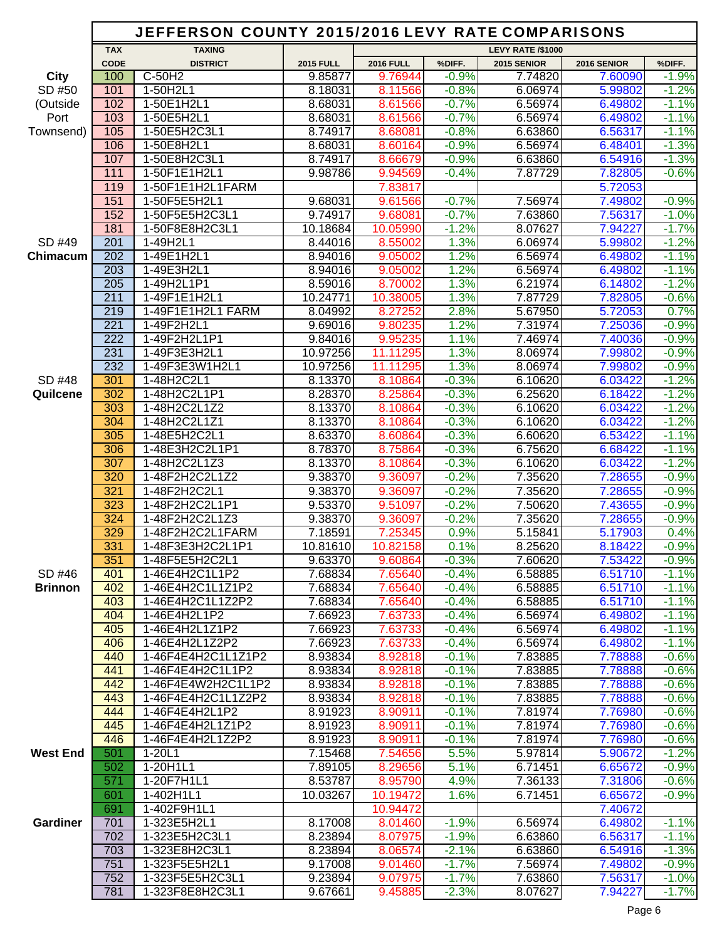|                 |                  | JEFFERSON COUNTY 2015/2016 LEVY RATE COMPARISONS |                    |                    |                    |                          |                    |                    |
|-----------------|------------------|--------------------------------------------------|--------------------|--------------------|--------------------|--------------------------|--------------------|--------------------|
|                 | <b>TAX</b>       | <b>TAXING</b>                                    |                    |                    |                    | <b>LEVY RATE /\$1000</b> |                    |                    |
|                 | <b>CODE</b>      | <b>DISTRICT</b>                                  | <b>2015 FULL</b>   | <b>2016 FULL</b>   | %DIFF.             | 2015 SENIOR              | 2016 SENIOR        | %DIFF.             |
| <b>City</b>     | 100              | $C-50H2$                                         | 9.85877            | 9.76944            | $-0.9%$            | 7.74820                  | 7.60090            | $-1.9%$            |
| SD #50          | 101              | 1-50H2L1                                         | 8.18031            | 8.11566            | $-0.8%$            | 6.06974                  | 5.99802            | $-1.2%$            |
| (Outside        | 102              | 1-50E1H2L1                                       | 8.68031            | 8.61566            | $-0.7%$            | 6.56974                  | 6.49802            | $-1.1%$            |
| Port            | 103              | 1-50E5H2L1                                       | 8.68031            | 8.61566            | $-0.7%$            | 6.56974                  | 6.49802            | $-1.1%$            |
| Townsend)       | 105              | 1-50E5H2C3L1                                     | 8.74917            | 8.68081            | $-0.8%$            | 6.63860                  | 6.56317            | $-1.1%$            |
|                 | 106              | 1-50E8H2L1                                       | 8.68031            | 8.60164            | $-0.9%$            | 6.56974                  | 6.48401            | $-1.3%$            |
|                 | 107              | 1-50E8H2C3L1                                     | 8.74917            | 8.66679            | $-0.9%$            | 6.63860                  | 6.54916            | $-1.3%$            |
|                 | 111<br>119       | 1-50F1E1H2L1<br>1-50F1E1H2L1FARM                 | 9.98786            | 9.94569            | $-0.4%$            | 7.87729                  | 7.82805            | $-0.6%$            |
|                 | 151              | 1-50F5E5H2L1                                     | 9.68031            | 7.83817<br>9.61566 | $-0.7%$            | 7.56974                  | 5.72053<br>7.49802 | $-0.9%$            |
|                 | 152              | 1-50F5E5H2C3L1                                   | 9.74917            | 9.68081            | $-0.7%$            | 7.63860                  | 7.56317            | $-1.0%$            |
|                 | 181              | 1-50F8E8H2C3L1                                   | 10.18684           | 10.05990           | $-1.2%$            | 8.07627                  | 7.94227            | $-1.7%$            |
| SD #49          | 201              | 1-49H2L1                                         | 8.44016            | 8.55002            | 1.3%               | 6.06974                  | 5.99802            | $-1.2%$            |
| Chimacum        | 202              | 1-49E1H2L1                                       | 8.94016            | 9.05002            | 1.2%               | 6.56974                  | 6.49802            | $-1.1%$            |
|                 | 203              | 1-49E3H2L1                                       | 8.94016            | 9.05002            | 1.2%               | 6.56974                  | 6.49802            | $-1.1%$            |
|                 | 205              | 1-49H2L1P1                                       | 8.59016            | 8.70002            | 1.3%               | 6.21974                  | 6.14802            | $-1.2%$            |
|                 | 211              | 1-49F1E1H2L1                                     | 10.24771           | 10.38005           | 1.3%               | 7.87729                  | 7.82805            | $-0.6%$            |
|                 | $\overline{219}$ | 1-49F1E1H2L1 FARM                                | 8.04992            | 8.27252            | 2.8%               | 5.67950                  | 5.72053            | 0.7%               |
|                 | $\overline{221}$ | 1-49F2H2L1                                       | 9.69016            | 9.80235            | 1.2%               | 7.31974                  | 7.25036            | $-0.9%$            |
|                 | $\overline{222}$ | 1-49F2H2L1P1                                     | 9.84016            | 9.95235            | 1.1%               | 7.46974                  | 7.40036            | $-0.9%$            |
|                 | 231              | 1-49F3E3H2L1                                     | 10.97256           | 11.11295           | 1.3%               | 8.06974                  | 7.99802            | $-0.9%$            |
|                 | 232              | 1-49F3E3W1H2L1                                   | 10.97256           | 11.11295           | 1.3%               | 8.06974                  | 7.99802            | $-0.9%$            |
| SD #48          | 301              | 1-48H2C2L1                                       | 8.13370            | 8.10864            | $-0.3%$            | 6.10620                  | 6.03422            | $-1.2%$            |
| Quilcene        | 302              | 1-48H2C2L1P1                                     | 8.28370            | 8.25864            | $-0.3%$            | 6.25620                  | 6.18422            | $-1.2%$            |
|                 | 303              | 1-48H2C2L1Z2                                     | 8.13370            | 8.10864            | $-0.3%$            | 6.10620                  | 6.03422            | $-1.2%$            |
|                 | 304              | 1-48H2C2L1Z1                                     | 8.13370            | 8.10864            | $-0.3%$            | 6.10620                  | 6.03422            | $-1.2%$            |
|                 | 305<br>306       | 1-48E5H2C2L1<br>1-48E3H2C2L1P1                   | 8.63370<br>8.78370 | 8.60864<br>8.75864 | $-0.3%$<br>$-0.3%$ | 6.60620<br>6.75620       | 6.53422<br>6.68422 | $-1.1%$<br>$-1.1%$ |
|                 | 307              | 1-48H2C2L1Z3                                     | 8.13370            | 8.10864            | $-0.3%$            | 6.10620                  | 6.03422            | $-1.2%$            |
|                 | 320              | 1-48F2H2C2L1Z2                                   | 9.38370            | 9.36097            | $-0.2%$            | 7.35620                  | 7.28655            | $-0.9%$            |
|                 | 321              | 1-48F2H2C2L1                                     | 9.38370            | 9.36097            | $-0.2%$            | 7.35620                  | 7.28655            | $-0.9%$            |
|                 | 323              | 1-48F2H2C2L1P1                                   | 9.53370            | 9.51097            | $-0.2%$            | 7.50620                  | 7.43655            | $-0.9%$            |
|                 | 324              | 1-48F2H2C2L1Z3                                   | 9.38370            | 9.36097            | $-0.2%$            | 7.35620                  | 7.28655            | $-0.9%$            |
|                 | 329              | 1-48F2H2C2L1FARM                                 | 7.18591            | 7.25345            | 0.9%               | 5.15841                  | 5.17903            | 0.4%               |
|                 | 331              | 1-48F3E3H2C2L1P1                                 | 10.81610           | 10.82158           | 0.1%               | 8.25620                  | 8.18422            | $-0.9%$            |
|                 | 351              | 1-48F5E5H2C2L1                                   | 9.63370            | 9.60864            | $-0.3%$            | 7.60620                  | 7.53422            | $-0.9%$            |
| SD #46          | 401              | 1-46E4H2C1L1P2                                   | 7.68834            | 7.65640            | $-0.4%$            | 6.58885                  | 6.51710            | $-1.1%$            |
| <b>Brinnon</b>  | 402              | 1-46E4H2C1L1Z1P2                                 | 7.68834            | 7.65640            | $-0.4%$            | 6.58885                  | 6.51710            | $-1.1%$            |
|                 | 403              | 1-46E4H2C1L1Z2P2                                 | 7.68834            | 7.65640            | $-0.4%$            | 6.58885                  | 6.51710            | $-1.1%$            |
|                 | 404              | 1-46E4H2L1P2                                     | 7.66923            | 7.63733            | $-0.4%$            | 6.56974                  | 6.49802            | $-1.1%$            |
|                 | 405              | 1-46E4H2L1Z1P2                                   | 7.66923            | 7.63733            | $-0.4%$            | 6.56974                  | 6.49802            | $-1.1%$            |
|                 | 406<br>440       | 1-46E4H2L1Z2P2<br>1-46F4E4H2C1L1Z1P2             | 7.66923<br>8.93834 | 7.63733<br>8.92818 | $-0.4%$<br>$-0.1%$ | 6.56974<br>7.83885       | 6.49802<br>7.78888 | $-1.1%$<br>$-0.6%$ |
|                 | 441              | 1-46F4E4H2C1L1P2                                 | 8.93834            | 8.92818            | $-0.1%$            | 7.83885                  | 7.78888            | $-0.6%$            |
|                 | 442              | 1-46F4E4W2H2C1L1P2                               | 8.93834            | 8.92818            | $-0.1%$            | 7.83885                  | 7.78888            | $-0.6%$            |
|                 | 443              | 1-46F4E4H2C1L1Z2P2                               | 8.93834            | 8.92818            | $-0.1%$            | 7.83885                  | 7.78888            | $-0.6%$            |
|                 | 444              | 1-46F4E4H2L1P2                                   | 8.91923            | 8.90911            | $-0.1%$            | 7.81974                  | 7.76980            | $-0.6%$            |
|                 | 445              | 1-46F4E4H2L1Z1P2                                 | 8.91923            | 8.90911            | $-0.1%$            | 7.81974                  | 7.76980            | $-0.6%$            |
|                 | 446              | 1-46F4E4H2L1Z2P2                                 | 8.91923            | 8.90911            | $-0.1%$            | 7.81974                  | 7.76980            | $-0.6%$            |
| <b>West End</b> | 501              | $1 - 20L1$                                       | 7.15468            | 7.54656            | 5.5%               | 5.97814                  | 5.90672            | $-1.2%$            |
|                 | 502              | 1-20H1L1                                         | 7.89105            | 8.29656            | 5.1%               | 6.71451                  | 6.65672            | $-0.9%$            |
|                 | 571              | 1-20F7H1L1                                       | 8.53787            | 8.95790            | 4.9%               | 7.36133                  | 7.31806            | $-0.6%$            |
|                 | 601              | 1-402H1L1                                        | 10.03267           | 10.19472           | 1.6%               | 6.71451                  | 6.65672            | $-0.9%$            |
|                 | 691              | 1-402F9H1L1                                      |                    | 10.94472           |                    |                          | 7.40672            |                    |
| <b>Gardiner</b> | 701              | 1-323E5H2L1                                      | 8.17008            | 8.01460            | $-1.9%$            | 6.56974                  | 6.49802            | $-1.1%$            |
|                 | 702<br>703       | 1-323E5H2C3L1                                    | 8.23894            | 8.07975            | $-1.9%$<br>$-2.1%$ | 6.63860                  | 6.56317            | $-1.1%$<br>$-1.3%$ |
|                 | 751              | 1-323E8H2C3L1<br>1-323F5E5H2L1                   | 8.23894<br>9.17008 | 8.06574<br>9.01460 | $-1.7%$            | 6.63860<br>7.56974       | 6.54916<br>7.49802 | $-0.9%$            |
|                 | 752              | 1-323F5E5H2C3L1                                  | 9.23894            | 9.07975            | $-1.7%$            | 7.63860                  | 7.56317            | $-1.0%$            |
|                 | 781              | 1-323F8E8H2C3L1                                  | 9.67661            | 9.45885            | $-2.3%$            | 8.07627                  | 7.94227            | $-1.7%$            |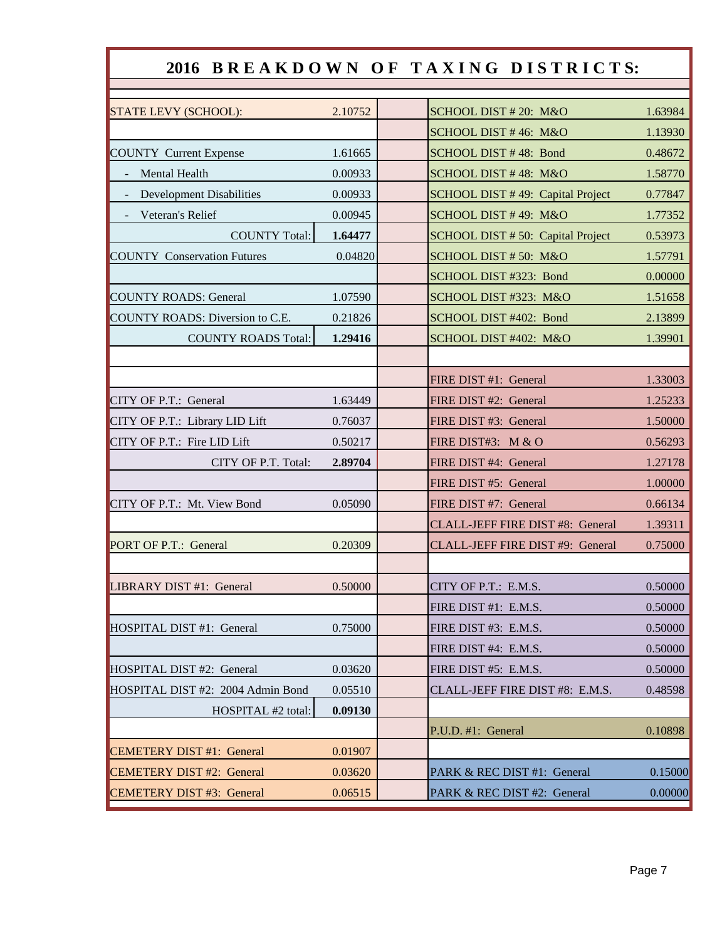## 2016 BREAKDOWN OF TAXING DISTRICTS:

| 2.10752 | SCHOOL DIST # 20: M&O             | 1.63984 |
|---------|-----------------------------------|---------|
|         | SCHOOL DIST #46: M&O              | 1.13930 |
| 1.61665 | SCHOOL DIST #48: Bond             | 0.48672 |
| 0.00933 | SCHOOL DIST #48: M&O              | 1.58770 |
| 0.00933 | SCHOOL DIST #49: Capital Project  | 0.77847 |
| 0.00945 | SCHOOL DIST #49: M&O              | 1.77352 |
| 1.64477 | SCHOOL DIST # 50: Capital Project | 0.53973 |
| 0.04820 | SCHOOL DIST #50: M&O              | 1.57791 |
|         | SCHOOL DIST #323: Bond            | 0.00000 |
| 1.07590 | SCHOOL DIST #323: M&O             | 1.51658 |
| 0.21826 | SCHOOL DIST #402: Bond            | 2.13899 |
| 1.29416 | SCHOOL DIST #402: M&O             | 1.39901 |
|         |                                   |         |
|         | FIRE DIST #1: General             | 1.33003 |
| 1.63449 | FIRE DIST #2: General             | 1.25233 |
| 0.76037 | FIRE DIST #3: General             | 1.50000 |
| 0.50217 | FIRE DIST#3: M & O                | 0.56293 |
| 2.89704 | FIRE DIST #4: General             | 1.27178 |
|         | FIRE DIST #5: General             | 1.00000 |
| 0.05090 | FIRE DIST #7: General             | 0.66134 |
|         | CLALL-JEFF FIRE DIST #8: General  | 1.39311 |
| 0.20309 | CLALL-JEFF FIRE DIST #9: General  | 0.75000 |
|         |                                   |         |
| 0.50000 | CITY OF P.T.: E.M.S.              | 0.50000 |
|         | FIRE DIST #1: E.M.S.              | 0.50000 |
| 0.75000 | FIRE DIST #3: E.M.S.              | 0.50000 |
|         | FIRE DIST #4: E.M.S.              | 0.50000 |
| 0.03620 | FIRE DIST #5: E.M.S.              | 0.50000 |
| 0.05510 | CLALL-JEFF FIRE DIST #8: E.M.S.   | 0.48598 |
| 0.09130 |                                   |         |
|         | P.U.D. #1: General                | 0.10898 |
| 0.01907 |                                   |         |
| 0.03620 | PARK & REC DIST #1: General       | 0.15000 |
| 0.06515 | PARK & REC DIST #2: General       | 0.00000 |
|         |                                   |         |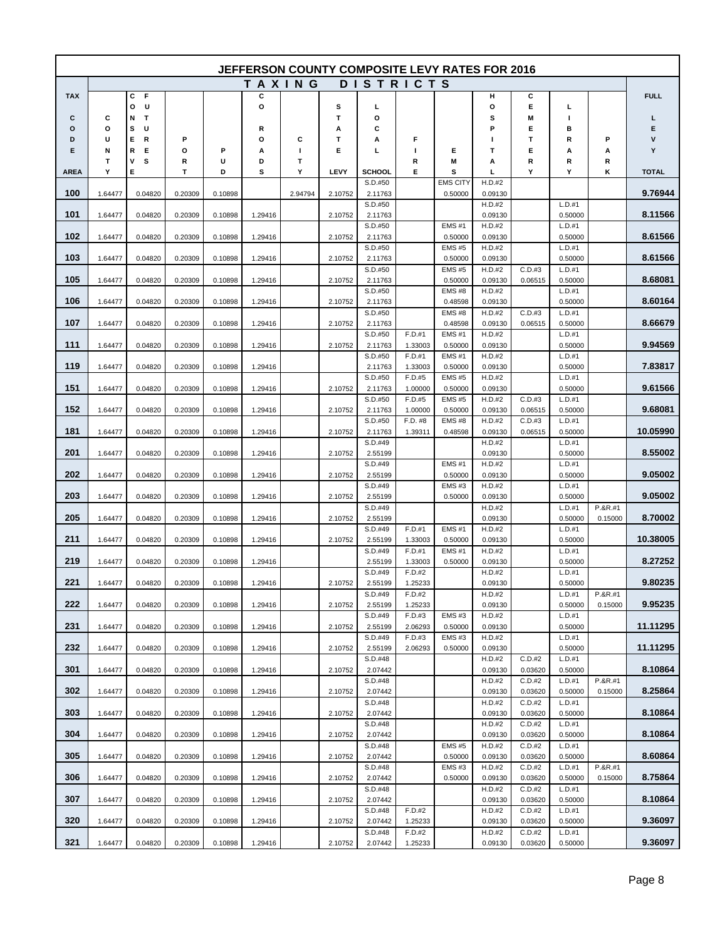|             |         |                  |         |         |         |         |         |                    |                   | <b>JEFFERSON COUNTY COMPOSITE LEVY RATES FOR 2016</b> |                   |                   |                   |           |              |
|-------------|---------|------------------|---------|---------|---------|---------|---------|--------------------|-------------------|-------------------------------------------------------|-------------------|-------------------|-------------------|-----------|--------------|
|             |         |                  |         |         |         | TAXING  |         | <b>DISTRICTS</b>   |                   |                                                       |                   |                   |                   |           |              |
| <b>TAX</b>  |         | F<br>С           |         |         | С       |         |         |                    |                   |                                                       | н                 | С                 |                   |           | <b>FULL</b>  |
| c           | С       | U<br>О<br>Т<br>Ν |         |         | O       |         | s<br>т  | L<br>o             |                   |                                                       | o<br>s            | Е<br>Μ            | г<br>п            |           | г            |
| o           | o       | s<br>U           |         |         | R       |         | А       | С                  |                   |                                                       | Р                 | Е                 | в                 |           | Е            |
| D           | U       | Е<br>R           | P       |         | О       | С       | т       | Α                  | F                 |                                                       | ı                 | т                 | R                 | Ρ         | ٧            |
| Е           | N       | R<br>Е           | О       | P       | А       | J.      | Е       | L                  | J.                | Е                                                     | т                 | Е                 | Α                 | А         | Y            |
| <b>AREA</b> | Т<br>Υ  | ٧<br>s<br>Е      | R<br>T  | U<br>D  | D<br>s  | Т<br>Υ  | LEVY    | SCHOOL             | R<br>Е            | Μ<br>s                                                | Α<br>L            | R<br>Y            | R<br>Υ            | R<br>κ    | <b>TOTAL</b> |
|             |         |                  |         |         |         |         |         | S.D.#50            |                   | <b>EMS CITY</b>                                       | H.D.#2            |                   |                   |           |              |
| 100         | 1.64477 | 0.04820          | 0.20309 | 0.10898 |         | 2.94794 | 2.10752 | 2.11763            |                   | 0.50000                                               | 0.09130           |                   |                   |           | 9.76944      |
| 101         |         |                  |         |         |         |         |         | S.D.#50            |                   |                                                       | H.D.#2            |                   | L.D.#1            |           | 8.11566      |
|             | 1.64477 | 0.04820          | 0.20309 | 0.10898 | 1.29416 |         | 2.10752 | 2.11763<br>S.D.#50 |                   | <b>EMS#1</b>                                          | 0.09130<br>H.D.#2 |                   | 0.50000<br>L.D.#1 |           |              |
| 102         | 1.64477 | 0.04820          | 0.20309 | 0.10898 | 1.29416 |         | 2.10752 | 2.11763            |                   | 0.50000                                               | 0.09130           |                   | 0.50000           |           | 8.61566      |
|             |         |                  |         |         |         |         |         | S.D.#50            |                   | <b>EMS#5</b>                                          | H.D.#2            |                   | L.D.#1            |           |              |
| 103         | 1.64477 | 0.04820          | 0.20309 | 0.10898 | 1.29416 |         | 2.10752 | 2.11763<br>S.D.#50 |                   | 0.50000<br><b>EMS#5</b>                               | 0.09130<br>H.D.#2 | C.D.#3            | 0.50000<br>L.D.#1 |           | 8.61566      |
| 105         | 1.64477 | 0.04820          | 0.20309 | 0.10898 | 1.29416 |         | 2.10752 | 2.11763            |                   | 0.50000                                               | 0.09130           | 0.06515           | 0.50000           |           | 8.68081      |
|             |         |                  |         |         |         |         |         | S.D.#50            |                   | <b>EMS#8</b>                                          | H.D.#2            |                   | L.D.#1            |           |              |
| 106         | 1.64477 | 0.04820          | 0.20309 | 0.10898 | 1.29416 |         | 2.10752 | 2.11763<br>S.D.#50 |                   | 0.48598<br><b>EMS#8</b>                               | 0.09130<br>H.D.#2 | C.D.#3            | 0.50000<br>L.D.#1 |           | 8.60164      |
| 107         | 1.64477 | 0.04820          | 0.20309 | 0.10898 | 1.29416 |         | 2.10752 | 2.11763            |                   | 0.48598                                               | 0.09130           | 0.06515           | 0.50000           |           | 8.66679      |
|             |         |                  |         |         |         |         |         | S.D.#50            | F.D.#1            | <b>EMS#1</b>                                          | H.D.#2            |                   | L.D.#1            |           |              |
| 111         | 1.64477 | 0.04820          | 0.20309 | 0.10898 | 1.29416 |         | 2.10752 | 2.11763            | 1.33003           | 0.50000                                               | 0.09130           |                   | 0.50000           |           | 9.94569      |
| 119         | 1.64477 | 0.04820          | 0.20309 | 0.10898 | 1.29416 |         |         | S.D.#50<br>2.11763 | F.D.#1<br>1.33003 | <b>EMS#1</b><br>0.50000                               | H.D.#2<br>0.09130 |                   | L.D.#1<br>0.50000 |           | 7.83817      |
|             |         |                  |         |         |         |         |         | S.D.#50            | F.D.#5            | <b>EMS#5</b>                                          | H.D.#2            |                   | L.D.#1            |           |              |
| 151         | 1.64477 | 0.04820          | 0.20309 | 0.10898 | 1.29416 |         | 2.10752 | 2.11763            | 1.00000           | 0.50000                                               | 0.09130           |                   | 0.50000           |           | 9.61566      |
| 152         | 1.64477 | 0.04820          | 0.20309 | 0.10898 | 1.29416 |         | 2.10752 | S.D.#50<br>2.11763 | F.D.#5<br>1.00000 | <b>EMS#5</b><br>0.50000                               | H.D.#2<br>0.09130 | C.D.#3<br>0.06515 | L.D.#1<br>0.50000 |           | 9.68081      |
|             |         |                  |         |         |         |         |         | S.D.#50            | F.D. #8           | <b>EMS#8</b>                                          | H.D.#2            | C.D.#3            | L.D.#1            |           |              |
| 181         | 1.64477 | 0.04820          | 0.20309 | 0.10898 | 1.29416 |         | 2.10752 | 2.11763            | 1.39311           | 0.48598                                               | 0.09130           | 0.06515           | 0.50000           |           | 10.05990     |
| 201         | 1.64477 | 0.04820          | 0.20309 | 0.10898 | 1.29416 |         | 2.10752 | S.D.#49<br>2.55199 |                   |                                                       | H.D.#2<br>0.09130 |                   | L.D.#1<br>0.50000 |           | 8.55002      |
|             |         |                  |         |         |         |         |         | S.D.#49            |                   | <b>EMS#1</b>                                          | H.D.#2            |                   | L.D.#1            |           |              |
| 202         | 1.64477 | 0.04820          | 0.20309 | 0.10898 | 1.29416 |         | 2.10752 | 2.55199            |                   | 0.50000                                               | 0.09130           |                   | 0.50000           |           | 9.05002      |
| 203         | 1.64477 | 0.04820          | 0.20309 | 0.10898 | 1.29416 |         | 2.10752 | S.D.#49<br>2.55199 |                   | <b>EMS#3</b><br>0.50000                               | H.D.#2<br>0.09130 |                   | L.D.#1<br>0.50000 |           | 9.05002      |
|             |         |                  |         |         |         |         |         | S.D.#49            |                   |                                                       | H.D.#2            |                   | L.D.#1            | $P.8R.+1$ |              |
| 205         | 1.64477 | 0.04820          | 0.20309 | 0.10898 | 1.29416 |         | 2.10752 | 2.55199            |                   |                                                       | 0.09130           |                   | 0.50000           | 0.15000   | 8.70002      |
| 211         | 1.64477 | 0.04820          | 0.20309 | 0.10898 | 1.29416 |         | 2.10752 | S.D.#49<br>2.55199 | F.D.#1<br>1.33003 | <b>EMS#1</b><br>0.50000                               | H.D.#2<br>0.09130 |                   | L.D.#1<br>0.50000 |           | 10.38005     |
|             |         |                  |         |         |         |         |         | S.D.#49            | F.D.#1            | <b>EMS#1</b>                                          | H.D.#2            |                   | L.D.#1            |           |              |
| 219         | 1.64477 | 0.04820          | 0.20309 | 0.10898 | 1.29416 |         |         | 2.55199            | 1.33003           | 0.50000                                               | 0.09130           |                   | 0.50000           |           | 8.27252      |
| 221         | 1.64477 |                  |         | 0.10898 | 1.29416 |         |         | S.D.#49            | F.D.#2            |                                                       | H.D.#2            |                   | L.D.#1            |           | 9.80235      |
|             |         | 0.04820          | 0.20309 |         |         |         | 2.10752 | 2.55199<br>S.D.#49 | 1.25233<br>F.D.#2 |                                                       | 0.09130<br>H.D.#2 |                   | 0.50000<br>L.D.#1 | P.&R.#1   |              |
| 222         | 1.64477 | 0.04820          | 0.20309 | 0.10898 | 1.29416 |         | 2.10752 | 2.55199            | 1.25233           |                                                       | 0.09130           |                   | 0.50000           | 0.15000   | 9.95235      |
|             |         |                  |         |         |         |         |         | S.D.#49            | F.D.#3            | EMS#3                                                 | H.D.#2            |                   | L.D.#1            |           |              |
| 231         | 1.64477 | 0.04820          | 0.20309 | 0.10898 | 1.29416 |         | 2.10752 | 2.55199<br>S.D.#49 | 2.06293<br>F.D.#3 | 0.50000<br>EMS#3                                      | 0.09130<br>H.D.#2 |                   | 0.50000<br>L.D.#1 |           | 11.11295     |
| 232         | 1.64477 | 0.04820          | 0.20309 | 0.10898 | 1.29416 |         | 2.10752 | 2.55199            | 2.06293           | 0.50000                                               | 0.09130           |                   | 0.50000           |           | 11.11295     |
|             |         |                  |         |         |         |         |         | S.D.#48            |                   |                                                       | H.D.#2            | C.D.#2            | L.D.#1            |           |              |
| 301         | 1.64477 | 0.04820          | 0.20309 | 0.10898 | 1.29416 |         | 2.10752 | 2.07442<br>S.D.#48 |                   |                                                       | 0.09130<br>H.D.#2 | 0.03620<br>C.D.#2 | 0.50000<br>L.D.#1 | P.&R.#1   | 8.10864      |
| 302         | 1.64477 | 0.04820          | 0.20309 | 0.10898 | 1.29416 |         | 2.10752 | 2.07442            |                   |                                                       | 0.09130           | 0.03620           | 0.50000           | 0.15000   | 8.25864      |
|             |         |                  |         |         |         |         |         | S.D.#48            |                   |                                                       | H.D.#2            | C.D.#2            | L.D.#1            |           |              |
| 303         | 1.64477 | 0.04820          | 0.20309 | 0.10898 | 1.29416 |         | 2.10752 | 2.07442<br>S.D.#48 |                   |                                                       | 0.09130<br>H.D.#2 | 0.03620<br>C.D.#2 | 0.50000<br>L.D.#1 |           | 8.10864      |
| 304         | 1.64477 | 0.04820          | 0.20309 | 0.10898 | 1.29416 |         | 2.10752 | 2.07442            |                   |                                                       | 0.09130           | 0.03620           | 0.50000           |           | 8.10864      |
|             |         |                  |         |         |         |         |         | S.D.#48            |                   | <b>EMS#5</b>                                          | H.D.#2            | C.D.#2            | L.D.#1            |           |              |
| 305         | 1.64477 | 0.04820          | 0.20309 | 0.10898 | 1.29416 |         | 2.10752 | 2.07442<br>S.D.#48 |                   | 0.50000<br>EMS#3                                      | 0.09130<br>H.D.#2 | 0.03620<br>C.D.#2 | 0.50000<br>L.D.#1 | P.&R.#1   | 8.60864      |
| 306         | 1.64477 | 0.04820          | 0.20309 | 0.10898 | 1.29416 |         | 2.10752 | 2.07442            |                   | 0.50000                                               | 0.09130           | 0.03620           | 0.50000           | 0.15000   | 8.75864      |
|             |         |                  |         |         |         |         |         | S.D.#48            |                   |                                                       | H.D.#2            | C.D.#2            | L.D.#1            |           |              |
| 307         | 1.64477 | 0.04820          | 0.20309 | 0.10898 | 1.29416 |         | 2.10752 | 2.07442<br>S.D.#48 | F.D.#2            |                                                       | 0.09130<br>H.D.#2 | 0.03620<br>C.D.#2 | 0.50000<br>L.D.#1 |           | 8.10864      |
| 320         | 1.64477 | 0.04820          | 0.20309 | 0.10898 | 1.29416 |         | 2.10752 | 2.07442            | 1.25233           |                                                       | 0.09130           | 0.03620           | 0.50000           |           | 9.36097      |
|             |         |                  |         |         |         |         |         | S.D.#48            | F.D.#2            |                                                       | H.D.#2            | C.D.#2            | L.D.#1            |           |              |
| 321         | 1.64477 | 0.04820          | 0.20309 | 0.10898 | 1.29416 |         | 2.10752 | 2.07442            | 1.25233           |                                                       | 0.09130           | 0.03620           | 0.50000           |           | 9.36097      |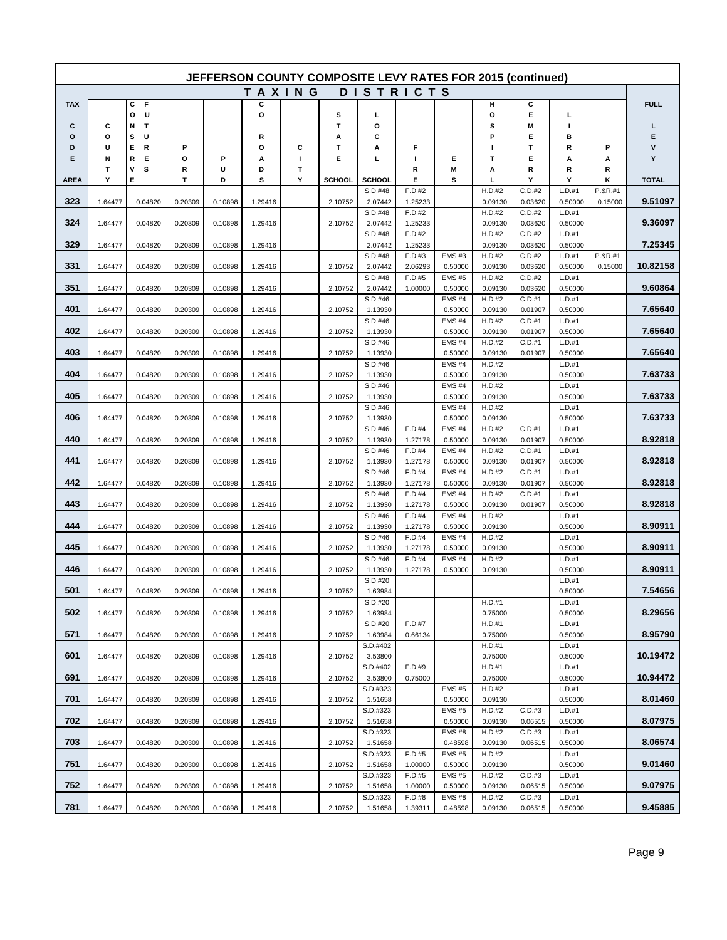|             |         |             |         |         |         |        | JEFFERSON COUNTY COMPOSITE LEVY RATES FOR 2015 (continued) |                     |                   |                         |                   |                   |                   |         |              |
|-------------|---------|-------------|---------|---------|---------|--------|------------------------------------------------------------|---------------------|-------------------|-------------------------|-------------------|-------------------|-------------------|---------|--------------|
|             |         |             |         |         |         | TAXING |                                                            |                     | <b>DISTRICTS</b>  |                         |                   |                   |                   |         |              |
| <b>TAX</b>  |         | F<br>С      |         |         | с       |        |                                                            |                     |                   |                         | н                 | С                 |                   |         | <b>FULL</b>  |
|             |         | U<br>o<br>T |         |         | О       |        | s<br>т                                                     | L<br>O              |                   |                         | o<br>s            | Е                 | г<br>п            |         | г            |
| С<br>o      | С<br>o  | Ν<br>s<br>U |         |         | R       |        | А                                                          | С                   |                   |                         | Р                 | М<br>Е            | в                 |         | Е            |
| D           | U       | Е<br>R      | P       |         | О       | С      | т                                                          | Α                   | F                 |                         | ı                 | т                 | R                 | Ρ       | ٧            |
| Е           | N       | R<br>Е      | О       | P       | А       | J.     | Е                                                          | L                   | J.                | Е                       | т                 | Е                 | Α                 | Α       | Y            |
|             | Т<br>Υ  | ۷<br>s<br>Е | R<br>T  | U       | D       | Т<br>Υ |                                                            |                     | R<br>Е            | Μ                       | Α                 | R<br>Υ            | R<br>Υ            | R<br>κ  |              |
| <b>AREA</b> |         |             |         | D       | s       |        | <b>SCHOOL</b>                                              | SCHOOL<br>S.D.#48   | F.D.#2            | s                       | г<br>H.D.#2       | C.D.#2            | L.D.#1            | P.&R.#1 | <b>TOTAL</b> |
| 323         | 1.64477 | 0.04820     | 0.20309 | 0.10898 | 1.29416 |        | 2.10752                                                    | 2.07442             | 1.25233           |                         | 0.09130           | 0.03620           | 0.50000           | 0.15000 | 9.51097      |
|             |         |             |         |         |         |        |                                                            | S.D.#48             | F.D.#2            |                         | H.D.#2            | C.D.#2            | L.D.#1            |         |              |
| 324         | 1.64477 | 0.04820     | 0.20309 | 0.10898 | 1.29416 |        | 2.10752                                                    | 2.07442<br>S.D.#48  | 1.25233<br>F.D.#2 |                         | 0.09130<br>H.D.#2 | 0.03620<br>C.D.#2 | 0.50000<br>L.D.#1 |         | 9.36097      |
| 329         | 1.64477 | 0.04820     | 0.20309 | 0.10898 | 1.29416 |        |                                                            | 2.07442             | 1.25233           |                         | 0.09130           | 0.03620           | 0.50000           |         | 7.25345      |
|             |         |             |         |         |         |        |                                                            | S.D.#48             | F.D.#3            | <b>EMS#3</b>            | H.D.#2            | C.D.#2            | L.D.#1            | P.&R.#1 |              |
| 331         | 1.64477 | 0.04820     | 0.20309 | 0.10898 | 1.29416 |        | 2.10752                                                    | 2.07442<br>S.D.#48  | 2.06293<br>F.D.#5 | 0.50000<br><b>EMS#5</b> | 0.09130<br>H.D.#2 | 0.03620<br>C.D.#2 | 0.50000<br>L.D.#1 | 0.15000 | 10.82158     |
| 351         | 1.64477 | 0.04820     | 0.20309 | 0.10898 | 1.29416 |        | 2.10752                                                    | 2.07442             | 1.00000           | 0.50000                 | 0.09130           | 0.03620           | 0.50000           |         | 9.60864      |
|             |         |             |         |         |         |        |                                                            | S.D.#46             |                   | <b>EMS#4</b>            | H.D.#2            | C.D.#1            | L.D.#1            |         |              |
| 401         | 1.64477 | 0.04820     | 0.20309 | 0.10898 | 1.29416 |        | 2.10752                                                    | 1.13930             |                   | 0.50000                 | 0.09130           | 0.01907           | 0.50000           |         | 7.65640      |
| 402         | 1.64477 | 0.04820     | 0.20309 | 0.10898 | 1.29416 |        | 2.10752                                                    | S.D.#46<br>1.13930  |                   | <b>EMS#4</b><br>0.50000 | H.D.#2<br>0.09130 | C.D.#1<br>0.01907 | L.D.#1<br>0.50000 |         | 7.65640      |
|             |         |             |         |         |         |        |                                                            | S.D.#46             |                   | <b>EMS#4</b>            | H.D.#2            | C.D.#1            | L.D.#1            |         |              |
| 403         | 1.64477 | 0.04820     | 0.20309 | 0.10898 | 1.29416 |        | 2.10752                                                    | 1.13930             |                   | 0.50000                 | 0.09130           | 0.01907           | 0.50000           |         | 7.65640      |
| 404         | 1.64477 | 0.04820     | 0.20309 | 0.10898 | 1.29416 |        | 2.10752                                                    | S.D.#46<br>1.13930  |                   | <b>EMS#4</b><br>0.50000 | H.D.#2<br>0.09130 |                   | L.D.#1<br>0.50000 |         | 7.63733      |
|             |         |             |         |         |         |        |                                                            | S.D.#46             |                   | <b>EMS#4</b>            | H.D.#2            |                   | L.D.#1            |         |              |
| 405         | 1.64477 | 0.04820     | 0.20309 | 0.10898 | 1.29416 |        | 2.10752                                                    | 1.13930             |                   | 0.50000                 | 0.09130           |                   | 0.50000           |         | 7.63733      |
|             |         |             |         |         |         |        |                                                            | S.D.#46             |                   | EMS#4                   | H.D.#2            |                   | L.D.#1            |         |              |
| 406         | 1.64477 | 0.04820     | 0.20309 | 0.10898 | 1.29416 |        | 2.10752                                                    | 1.13930<br>S.D.#46  | F.D.#4            | 0.50000<br><b>EMS#4</b> | 0.09130<br>H.D.#2 | C.D.#1            | 0.50000<br>L.D.#1 |         | 7.63733      |
| 440         | 1.64477 | 0.04820     | 0.20309 | 0.10898 | 1.29416 |        | 2.10752                                                    | 1.13930             | 1.27178           | 0.50000                 | 0.09130           | 0.01907           | 0.50000           |         | 8.92818      |
|             |         |             |         |         |         |        |                                                            | S.D.#46             | F.D.#4            | EMS#4                   | H.D.#2            | C.D.#1            | L.D.#1            |         |              |
| 441         | 1.64477 | 0.04820     | 0.20309 | 0.10898 | 1.29416 |        | 2.10752                                                    | 1.13930<br>S.D.#46  | 1.27178<br>F.D.#4 | 0.50000<br>EMS#4        | 0.09130<br>H.D.#2 | 0.01907<br>C.D.#1 | 0.50000<br>L.D.#1 |         | 8.92818      |
| 442         | 1.64477 | 0.04820     | 0.20309 | 0.10898 | 1.29416 |        | 2.10752                                                    | 1.13930             | 1.27178           | 0.50000                 | 0.09130           | 0.01907           | 0.50000           |         | 8.92818      |
|             |         |             |         |         |         |        |                                                            | S.D.#46             | F.D.#4            | <b>EMS#4</b>            | H.D.#2            | C.D.#1            | L.D.#1            |         |              |
| 443         | 1.64477 | 0.04820     | 0.20309 | 0.10898 | 1.29416 |        | 2.10752                                                    | 1.13930             | 1.27178           | 0.50000                 | 0.09130           | 0.01907           | 0.50000           |         | 8.92818      |
| 444         | 1.64477 | 0.04820     | 0.20309 | 0.10898 | 1.29416 |        | 2.10752                                                    | S.D.#46<br>1.13930  | F.D.#4<br>1.27178 | <b>EMS#4</b><br>0.50000 | H.D.#2<br>0.09130 |                   | L.D.#1<br>0.50000 |         | 8.90911      |
|             |         |             |         |         |         |        |                                                            | S.D.#46             | F.D.#4            | <b>EMS#4</b>            | H.D.#2            |                   | L.D.#1            |         |              |
| 445         | 1.64477 | 0.04820     | 0.20309 | 0.10898 | 1.29416 |        | 2.10752                                                    | 1.13930             | 1.27178           | 0.50000                 | 0.09130           |                   | 0.50000           |         | 8.90911      |
| 446         | 1.64477 | 0.04820     | 0.20309 | 0.10898 | 1.29416 |        | 2.10752                                                    | S.D.#46<br>1.13930  | F.D.#4<br>1.27178 | <b>EMS#4</b><br>0.50000 | H.D.#2<br>0.09130 |                   | L.D.#1<br>0.50000 |         | 8.90911      |
|             |         |             |         |         |         |        |                                                            | S.D.#20             |                   |                         |                   |                   | L.D.#1            |         |              |
| 501         | 1.64477 | 0.04820     | 0.20309 | 0.10898 | 1.29416 |        | 2.10752                                                    | 1.63984             |                   |                         |                   |                   | 0.50000           |         | 7.54656      |
| 502         | 1.64477 | 0.04820     | 0.20309 | 0.10898 | 1.29416 |        | 2.10752                                                    | S.D.#20<br>1.63984  |                   |                         | H.D.#1<br>0.75000 |                   | L.D.#1<br>0.50000 |         | 8.29656      |
|             |         |             |         |         |         |        |                                                            | S.D.#20             | F.D.#7            |                         | H.D.#1            |                   | L.D.#1            |         |              |
| 571         | 1.64477 | 0.04820     | 0.20309 | 0.10898 | 1.29416 |        | 2.10752                                                    | 1.63984             | 0.66134           |                         | 0.75000           |                   | 0.50000           |         | 8.95790      |
|             |         |             |         |         |         |        |                                                            | S.D.#402            |                   |                         | H.D.#1            |                   | L.D.#1            |         | 10.19472     |
| 601         | 1.64477 | 0.04820     | 0.20309 | 0.10898 | 1.29416 |        | 2.10752                                                    | 3.53800<br>S.D.#402 | F.D.#9            |                         | 0.75000<br>H.D.#1 |                   | 0.50000<br>L.D.#1 |         |              |
| 691         | 1.64477 | 0.04820     | 0.20309 | 0.10898 | 1.29416 |        | 2.10752                                                    | 3.53800             | 0.75000           |                         | 0.75000           |                   | 0.50000           |         | 10.94472     |
|             |         |             |         |         |         |        |                                                            | S.D.#323            |                   | <b>EMS#5</b>            | H.D.#2            |                   | L.D.#1            |         |              |
| 701         | 1.64477 | 0.04820     | 0.20309 | 0.10898 | 1.29416 |        | 2.10752                                                    | 1.51658<br>S.D.#323 |                   | 0.50000<br><b>EMS#5</b> | 0.09130<br>H.D.#2 | C.D.#3            | 0.50000<br>L.D.#1 |         | 8.01460      |
| 702         | 1.64477 | 0.04820     | 0.20309 | 0.10898 | 1.29416 |        | 2.10752                                                    | 1.51658             |                   | 0.50000                 | 0.09130           | 0.06515           | 0.50000           |         | 8.07975      |
|             |         |             |         |         |         |        |                                                            | S.D.#323            |                   | EMS#8                   | H.D.#2            | C.D.#3            | L.D.#1            |         |              |
| 703         | 1.64477 | 0.04820     | 0.20309 | 0.10898 | 1.29416 |        | 2.10752                                                    | 1.51658             |                   | 0.48598<br><b>EMS#5</b> | 0.09130           | 0.06515           | 0.50000<br>L.D.#1 |         | 8.06574      |
| 751         | 1.64477 | 0.04820     | 0.20309 | 0.10898 | 1.29416 |        | 2.10752                                                    | S.D.#323<br>1.51658 | F.D.#5<br>1.00000 | 0.50000                 | H.D.#2<br>0.09130 |                   | 0.50000           |         | 9.01460      |
|             |         |             |         |         |         |        |                                                            | S.D.#323            | F.D.#5            | <b>EMS#5</b>            | H.D.#2            | C.D.#3            | L.D.#1            |         |              |
| 752         | 1.64477 | 0.04820     | 0.20309 | 0.10898 | 1.29416 |        | 2.10752                                                    | 1.51658             | 1.00000           | 0.50000                 | 0.09130           | 0.06515           | 0.50000           |         | 9.07975      |
| 781         | 1.64477 | 0.04820     | 0.20309 | 0.10898 | 1.29416 |        | 2.10752                                                    | S.D.#323<br>1.51658 | F.D.#8<br>1.39311 | EMS#8<br>0.48598        | H.D.#2<br>0.09130 | C.D.#3<br>0.06515 | L.D.#1<br>0.50000 |         | 9.45885      |
|             |         |             |         |         |         |        |                                                            |                     |                   |                         |                   |                   |                   |         |              |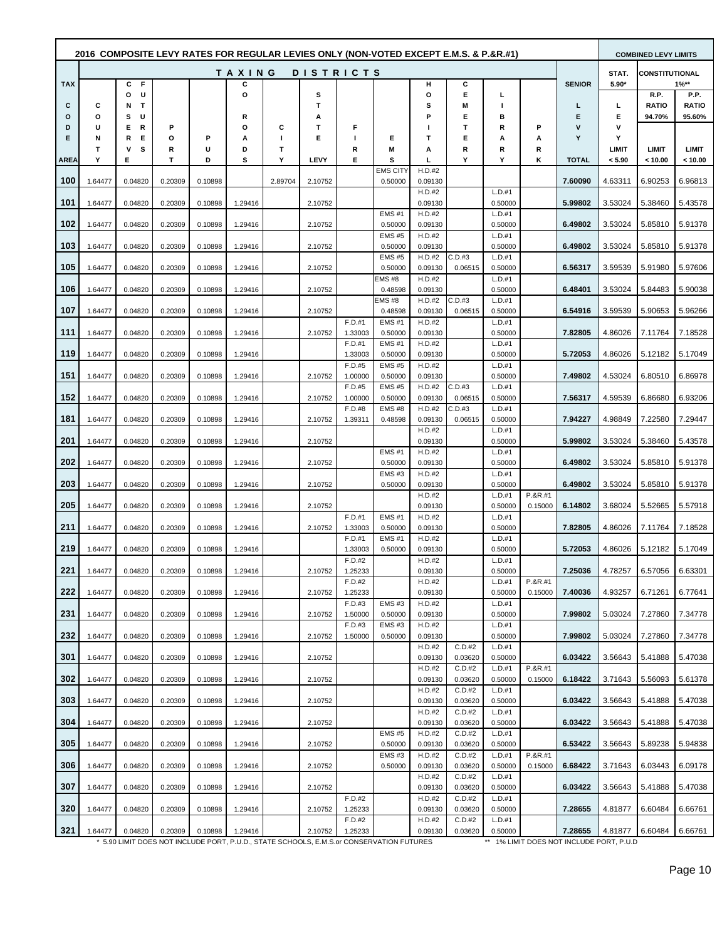| 2016 COMPOSITE LEVY RATES FOR REGULAR LEVIES ONLY (NON-VOTED EXCEPT E.M.S. & P.&R.#1)<br>TAXING<br><b>DISTRICTS</b> |         |                    |         |         |         |         |         |                                                                                                     |                         |                   |                   |                   |                    | <b>COMBINED LEVY LIMITS</b>                         |         |                       |                 |
|---------------------------------------------------------------------------------------------------------------------|---------|--------------------|---------|---------|---------|---------|---------|-----------------------------------------------------------------------------------------------------|-------------------------|-------------------|-------------------|-------------------|--------------------|-----------------------------------------------------|---------|-----------------------|-----------------|
|                                                                                                                     |         |                    |         |         |         |         |         |                                                                                                     |                         |                   |                   |                   |                    |                                                     | STAT.   | <b>CONSTITUTIONAL</b> |                 |
| <b>TAX</b>                                                                                                          |         | C<br>- F<br>U<br>O |         |         | c<br>O  |         | s       |                                                                                                     |                         | н<br>o            | с<br>Е            | г                 |                    | <b>SENIOR</b>                                       | $5.90*$ | R.P.                  | $1\%**$<br>P.P. |
| С                                                                                                                   | c       | Т<br>N             |         |         |         |         | т       |                                                                                                     |                         | s                 | Μ                 | ш                 |                    | L                                                   | L.      | <b>RATIO</b>          | <b>RATIO</b>    |
| Ο<br>D                                                                                                              | о<br>U  | s<br>U<br>Е<br>R   | P       |         | R<br>o  | С       | А<br>т  | F                                                                                                   |                         | P                 | Е<br>т            | в<br>R            | P                  | Е<br>V                                              | Е<br>v  | 94.70%                | 95.60%          |
| Е                                                                                                                   | N       | R<br>Е             | о       | P       | А       | п       | Е       | ш                                                                                                   | Е                       | т                 | Е                 | А                 | А                  | Υ                                                   | Υ       |                       |                 |
|                                                                                                                     | т       | s<br>۷             | R       | υ       | D       | Т       |         | R                                                                                                   | M                       | А                 | R                 | R                 | R                  |                                                     | LIMIT   | LIMIT                 | <b>LIMIT</b>    |
| <b>AREA</b>                                                                                                         | Y       | Е                  | т       | D       | s       | Υ       | LEVY    | Е                                                                                                   | S<br>EMS CITY           | L<br>H.D.#2       | Υ                 | Υ                 | κ                  | <b>TOTAL</b>                                        | < 5.90  | < 10.00               | < 10.00         |
| 100                                                                                                                 | 1.64477 | 0.04820            | 0.20309 | 0.10898 |         | 2.89704 | 2.10752 |                                                                                                     | 0.50000                 | 0.09130           |                   |                   |                    | 7.60090                                             | 4.63311 | 6.90253               | 6.96813         |
| 101                                                                                                                 | 1.64477 | 0.04820            | 0.20309 | 0.10898 | 1.29416 |         | 2.10752 |                                                                                                     |                         | H.D.#2<br>0.09130 |                   | L.D.#1<br>0.50000 |                    | 5.99802                                             | 3.53024 | 5.38460               | 5.43578         |
| 102                                                                                                                 | 1.64477 | 0.04820            | 0.20309 | 0.10898 | 1.29416 |         | 2.10752 |                                                                                                     | <b>EMS#1</b><br>0.50000 | H.D.#2<br>0.09130 |                   | L.D.#1<br>0.50000 |                    | 6.49802                                             | 3.53024 | 5.85810               | 5.91378         |
| 103                                                                                                                 | 1.64477 | 0.04820            | 0.20309 | 0.10898 | 1.29416 |         | 2.10752 |                                                                                                     | <b>EMS#5</b><br>0.50000 | H.D.#2<br>0.09130 |                   | L.D.#1<br>0.50000 |                    | 6.49802                                             | 3.53024 | 5.85810               | 5.91378         |
|                                                                                                                     |         |                    |         |         |         |         |         |                                                                                                     | <b>EMS#5</b>            | H.D.#2            | C.D.#3            | L.D.#1            |                    |                                                     |         |                       |                 |
| 105                                                                                                                 | 1.64477 | 0.04820            | 0.20309 | 0.10898 | 1.29416 |         | 2.10752 |                                                                                                     | 0.50000<br><b>EMS#8</b> | 0.09130<br>H.D.#2 | 0.06515           | 0.50000<br>L.D.#1 |                    | 6.56317                                             | 3.59539 | 5.91980               | 5.97606         |
| 106                                                                                                                 | 1.64477 | 0.04820            | 0.20309 | 0.10898 | 1.29416 |         | 2.10752 |                                                                                                     | 0.48598                 | 0.09130           |                   | 0.50000           |                    | 6.48401                                             | 3.53024 | 5.84483               | 5.90038         |
| 107                                                                                                                 | 1.64477 | 0.04820            | 0.20309 | 0.10898 | 1.29416 |         | 2.10752 |                                                                                                     | EMS #8<br>0.48598       | H.D.#2<br>0.09130 | C.D.#3<br>0.06515 | L.D.#1<br>0.50000 |                    | 6.54916                                             | 3.59539 | 5.90653               | 5.96266         |
|                                                                                                                     |         |                    |         |         |         |         |         | $F.D.+1$                                                                                            | EMS#1                   | H.D.#2            |                   | L.D.#1            |                    |                                                     |         |                       |                 |
| 111                                                                                                                 | 1.64477 | 0.04820            | 0.20309 | 0.10898 | 1.29416 |         | 2.10752 | 1.33003<br>F.D.#1                                                                                   | 0.50000<br><b>EMS#1</b> | 0.09130<br>H.D.#2 |                   | 0.50000<br>L.D.#1 |                    | 7.82805                                             | 4.86026 | 7.11764               | 7.18528         |
| 119                                                                                                                 | 1.64477 | 0.04820            | 0.20309 | 0.10898 | 1.29416 |         |         | 1.33003                                                                                             | 0.50000                 | 0.09130           |                   | 0.50000           |                    | 5.72053                                             | 4.86026 | 5.12182               | 5.17049         |
| 151                                                                                                                 | 1.64477 | 0.04820            | 0.20309 | 0.10898 | 1.29416 |         | 2.10752 | F.D.#5<br>1.00000                                                                                   | <b>EMS#5</b><br>0.50000 | H.D.#2<br>0.09130 |                   | L.D.#1<br>0.50000 |                    | 7.49802                                             | 4.53024 | 6.80510               | 6.86978         |
|                                                                                                                     |         |                    |         |         |         |         |         | F.D.#5                                                                                              | <b>EMS#5</b>            | H.D.#2            | C.D.#3            | L.D.#1            |                    |                                                     |         |                       |                 |
| 152                                                                                                                 | 1.64477 | 0.04820            | 0.20309 | 0.10898 | 1.29416 |         | 2.10752 | 1.00000<br>F.D.#8                                                                                   | 0.50000<br><b>EMS#8</b> | 0.09130<br>H.D.#2 | 0.06515<br>C.D.#3 | 0.50000<br>L.D.#1 |                    | 7.56317                                             | 4.59539 | 6.86680               | 6.93206         |
| 181                                                                                                                 | 1.64477 | 0.04820            | 0.20309 | 0.10898 | 1.29416 |         | 2.10752 | 1.39311                                                                                             | 0.48598                 | 0.09130           | 0.06515           | 0.50000           |                    | 7.94227                                             | 4.98849 | 7.22580               | 7.29447         |
| 201                                                                                                                 | 1.64477 | 0.04820            | 0.20309 | 0.10898 | 1.29416 |         | 2.10752 |                                                                                                     |                         | H.D.#2<br>0.09130 |                   | L.D.#1<br>0.50000 |                    | 5.99802                                             | 3.53024 | 5.38460               | 5.43578         |
|                                                                                                                     |         |                    |         |         |         |         |         |                                                                                                     | <b>EMS#1</b>            | H.D.#2            |                   | L.D.#1            |                    |                                                     |         |                       |                 |
| 202                                                                                                                 | 1.64477 | 0.04820            | 0.20309 | 0.10898 | 1.29416 |         | 2.10752 |                                                                                                     | 0.50000<br><b>EMS#3</b> | 0.09130<br>H.D.#2 |                   | 0.50000<br>L.D.#1 |                    | 6.49802                                             | 3.53024 | 5.85810               | 5.91378         |
| 203                                                                                                                 | 1.64477 | 0.04820            | 0.20309 | 0.10898 | 1.29416 |         | 2.10752 |                                                                                                     | 0.50000                 | 0.09130<br>H.D.#2 |                   | 0.50000<br>L.D.#1 | P.&R.#1            | 6.49802                                             | 3.53024 | 5.85810               | 5.91378         |
| 205                                                                                                                 | 1.64477 | 0.04820            | 0.20309 | 0.10898 | 1.29416 |         | 2.10752 |                                                                                                     |                         | 0.09130           |                   | 0.50000           | 0.15000            | 6.14802                                             | 3.68024 | 5.52665               | 5.57918         |
| 211                                                                                                                 | 1.64477 | 0.04820            | 0.20309 | 0.10898 | 1.29416 |         | 2.10752 | F.D.#1<br>1.33003                                                                                   | <b>EMS#1</b><br>0.50000 | H.D.#2<br>0.09130 |                   | L.D.#1<br>0.50000 |                    | 7.82805                                             | 4.86026 | 7.11764               | 7.18528         |
|                                                                                                                     |         |                    |         |         |         |         |         | F.D.#1                                                                                              | <b>EMS#1</b>            | H.D.#2            |                   | L.D.#1            |                    |                                                     |         |                       |                 |
| 219                                                                                                                 | 1.64477 | 0.04820            | 0.20309 | 0.10898 | 1.29416 |         |         | 1.33003<br>F.D.#2                                                                                   | 0.50000                 | 0.09130<br>H.D.#2 |                   | 0.50000<br>L.D.#1 |                    | 5.72053                                             | 4.86026 | 5.12182               | 5.17049         |
| 221                                                                                                                 | 1.64477 | 0.04820            | 0.20309 | 0.10898 | 1.29416 |         | 2.10752 | 1.25233                                                                                             |                         | 0.09130           |                   | 0.50000           |                    | 7.25036                                             | 4.78257 | 6.57056 6.63301       |                 |
| 222                                                                                                                 | 1.64477 | 0.04820            | 0.20309 | 0.10898 | 1.29416 |         | 2.10752 | F.D.#2<br>1.25233                                                                                   |                         | H.D.#2<br>0.09130 |                   | L.D.#1<br>0.50000 | P.&R.#1<br>0.15000 | 7.40036                                             | 4.93257 | 6.71261               | 6.77641         |
|                                                                                                                     |         |                    |         |         |         |         |         | F.D.#3                                                                                              | EMS#3                   | H.D.#2            |                   | L.D.#1            |                    |                                                     |         |                       |                 |
| 231                                                                                                                 | 1.64477 | 0.04820            | 0.20309 | 0.10898 | 1.29416 |         | 2.10752 | 1.50000<br>F.D.#3                                                                                   | 0.50000<br><b>EMS#3</b> | 0.09130<br>H.D.#2 |                   | 0.50000<br>L.D.#1 |                    | 7.99802                                             | 5.03024 | 7.27860               | 7.34778         |
| 232                                                                                                                 | 1.64477 | 0.04820            | 0.20309 | 0.10898 | 1.29416 |         | 2.10752 | 1.50000                                                                                             | 0.50000                 | 0.09130           |                   | 0.50000           |                    | 7.99802                                             | 5.03024 | 7.27860               | 7.34778         |
| 301                                                                                                                 | 1.64477 | 0.04820            | 0.20309 | 0.10898 | 1.29416 |         | 2.10752 |                                                                                                     |                         | H.D.#2<br>0.09130 | C.D.#2<br>0.03620 | L.D.#1<br>0.50000 |                    | 6.03422                                             | 3.56643 | 5.41888               | 5.47038         |
| 302                                                                                                                 | 1.64477 | 0.04820            | 0.20309 | 0.10898 | 1.29416 |         | 2.10752 |                                                                                                     |                         | H.D.#2<br>0.09130 | C.D.#2<br>0.03620 | L.D.#1<br>0.50000 | P.&R.#1<br>0.15000 | 6.18422                                             | 3.71643 | 5.56093               | 5.61378         |
| 303                                                                                                                 |         |                    |         |         |         |         |         |                                                                                                     |                         | H.D.#2            | C.D.#2            | L.D.#1<br>0.50000 |                    | 6.03422                                             | 3.56643 |                       | 5.47038         |
|                                                                                                                     | 1.64477 | 0.04820            | 0.20309 | 0.10898 | 1.29416 |         | 2.10752 |                                                                                                     |                         | 0.09130<br>H.D.#2 | 0.03620<br>C.D.#2 | L.D.#1            |                    |                                                     |         | 5.41888               |                 |
| 304                                                                                                                 | 1.64477 | 0.04820            | 0.20309 | 0.10898 | 1.29416 |         | 2.10752 |                                                                                                     | <b>EMS#5</b>            | 0.09130<br>H.D.#2 | 0.03620<br>C.D.#2 | 0.50000<br>L.D.#1 |                    | 6.03422                                             | 3.56643 | 5.41888               | 5.47038         |
| 305                                                                                                                 | 1.64477 | 0.04820            | 0.20309 | 0.10898 | 1.29416 |         | 2.10752 |                                                                                                     | 0.50000                 | 0.09130           | 0.03620           | 0.50000           |                    | 6.53422                                             | 3.56643 | 5.89238               | 5.94838         |
| 306                                                                                                                 | 1.64477 | 0.04820            | 0.20309 | 0.10898 | 1.29416 |         | 2.10752 |                                                                                                     | <b>EMS#3</b><br>0.50000 | H.D.#2<br>0.09130 | C.D.#2<br>0.03620 | L.D.#1<br>0.50000 | P.&R.#1<br>0.15000 | 6.68422                                             | 3.71643 | 6.03443               | 6.09178         |
| 307                                                                                                                 | 1.64477 | 0.04820            | 0.20309 | 0.10898 | 1.29416 |         | 2.10752 |                                                                                                     |                         | H.D.#2<br>0.09130 | C.D.#2<br>0.03620 | L.D.#1<br>0.50000 |                    | 6.03422                                             | 3.56643 | 5.41888               | 5.47038         |
|                                                                                                                     |         |                    |         |         |         |         |         | F.D.#2                                                                                              |                         | H.D.#2            | C.D.#2            | L.D.#1            |                    |                                                     |         |                       |                 |
| 320                                                                                                                 | 1.64477 | 0.04820            | 0.20309 | 0.10898 | 1.29416 |         | 2.10752 | 1.25233<br>F.D.#2                                                                                   |                         | 0.09130<br>H.D.#2 | 0.03620<br>C.D.#2 | 0.50000<br>L.D.#1 |                    | 7.28655                                             | 4.81877 | 6.60484               | 6.66761         |
| 321                                                                                                                 | 1.64477 | 0.04820            | 0.20309 | 0.10898 | 1.29416 |         | 2.10752 | 1.25233<br>* 5.90 LIMIT DOES NOT INCLUDE PORT, P.U.D., STATE SCHOOLS, E.M.S.or CONSERVATION FUTURES |                         | 0.09130           | 0.03620           | 0.50000           |                    | 7.28655<br>** 1% LIMIT DOES NOT INCLUDE PORT, P.U.D | 4.81877 | 6.60484               | 6.66761         |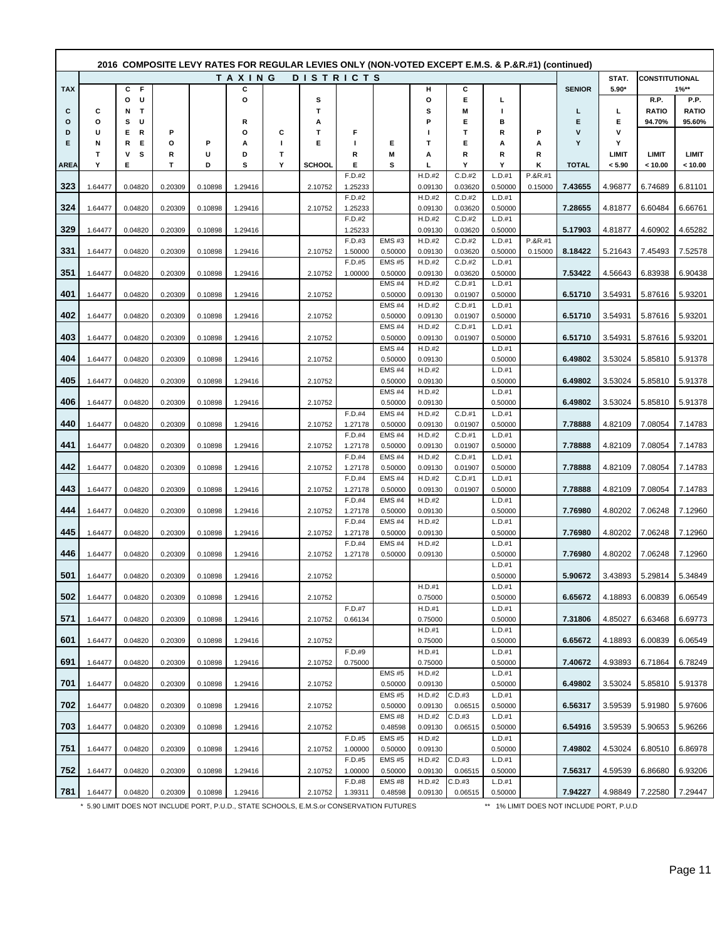|              |         |                    |         |         | (confinity RATES FOR REGULAR LEVIES ONLY (NON-VOTED EXCEPT E.M.S. & P.&R.#1) (continued) 2016 |   |               |                   |                         |                   |                   |                     |                    |               |         |                       |                 |
|--------------|---------|--------------------|---------|---------|-----------------------------------------------------------------------------------------------|---|---------------|-------------------|-------------------------|-------------------|-------------------|---------------------|--------------------|---------------|---------|-----------------------|-----------------|
|              |         |                    |         |         | TAXING                                                                                        |   |               | <b>DISTRICTS</b>  |                         |                   |                   |                     |                    |               | STAT.   | <b>CONSTITUTIONAL</b> |                 |
| <b>TAX</b>   |         | C<br>- F<br>U<br>О |         |         | С<br>O                                                                                        |   | s             |                   |                         | н<br>o            | С<br>E            | г                   |                    | <b>SENIOR</b> | $5.90*$ | R.P.                  | $1\%**$<br>P.P. |
| C            | С       | Т<br>N             |         |         |                                                                                               |   | т             |                   |                         | s                 | Μ                 | I.                  |                    | L             | L       | <b>RATIO</b>          | <b>RATIO</b>    |
| $\circ$<br>D | o<br>U  | s<br>U<br>Ε<br>R   | P       |         | R<br>О                                                                                        | c | А<br>т        | F                 |                         | P                 | Е<br>т            | в<br>R              | Ρ                  | Е<br>v        | Е<br>٧  | 94.70%                | 95.60%          |
| Е            | N       | R<br>Е             | O       | Р       | Α                                                                                             | H | Е             | T                 | Е                       | т                 | Е                 | А                   | А                  | Υ             | Υ       |                       |                 |
|              | т       | ۷<br>s             | R       | U       | D                                                                                             | Т |               | R                 | M                       | А                 | R                 | R                   | R                  |               | LIMIT   | LIMIT                 | <b>LIMIT</b>    |
| <b>AREA</b>  | Υ       | Е                  | T       | D       | S                                                                                             | Υ | <b>SCHOOL</b> | Е<br>F.D.#2       | s                       | L<br>H.D.#2       | Υ<br>C.D.#2       | Υ<br>L.D.#1         | κ<br>P.&R.#1       | <b>TOTAL</b>  | < 5.90  | < 10.00               | < 10.00         |
| 323          | 1.64477 | 0.04820            | 0.20309 | 0.10898 | 1.29416                                                                                       |   | 2.10752       | 1.25233           |                         | 0.09130           | 0.03620           | 0.50000             | 0.15000            | 7.43655       | 4.96877 | 6.74689               | 6.81101         |
| 324          | 1.64477 | 0.04820            | 0.20309 | 0.10898 | 1.29416                                                                                       |   | 2.10752       | F.D.#2<br>1.25233 |                         | H.D.#2<br>0.09130 | C.D.#2<br>0.03620 | L.D.#1<br>0.50000   |                    | 7.28655       | 4.81877 | 6.60484               | 6.66761         |
|              |         |                    |         |         |                                                                                               |   |               | F.D.#2            |                         | H.D.#2            | C.D.#2            | L.D.#1              |                    |               |         |                       |                 |
| 329          | 1.64477 | 0.04820            | 0.20309 | 0.10898 | 1.29416                                                                                       |   |               | 1.25233           |                         | 0.09130           | 0.03620           | 0.50000             |                    | 5.17903       | 4.81877 | 4.60902               | 4.65282         |
| 331          | 1.64477 | 0.04820            | 0.20309 | 0.10898 | 1.29416                                                                                       |   | 2.10752       | F.D.#3<br>1.50000 | EMS#3<br>0.50000        | H.D.#2<br>0.09130 | C.D.#2<br>0.03620 | L.D.#1<br>0.50000   | P.&R.#1<br>0.15000 | 8.18422       | 5.21643 | 7.45493               | 7.52578         |
|              |         |                    |         |         |                                                                                               |   |               | F.D.#5            | <b>EMS#5</b>            | H.D.#2            | C.D.#2            | L.D.#1              |                    |               |         |                       |                 |
| 351          | 1.64477 | 0.04820            | 0.20309 | 0.10898 | 1.29416                                                                                       |   | 2.10752       | 1.00000           | 0.50000<br>EMS#4        | 0.09130<br>H.D.#2 | 0.03620<br>C.D.#1 | 0.50000<br>L.D.#1   |                    | 7.53422       | 4.56643 | 6.83938               | 6.90438         |
| 401          | 1.64477 | 0.04820            | 0.20309 | 0.10898 | 1.29416                                                                                       |   | 2.10752       |                   | 0.50000                 | 0.09130           | 0.01907           | 0.50000             |                    | 6.51710       | 3.54931 | 5.87616               | 5.93201         |
|              |         |                    |         |         |                                                                                               |   |               |                   | EMS#4                   | H.D.#2            | C.D.#1            | L.D.#1              |                    |               |         |                       |                 |
| 402          | 1.64477 | 0.04820            | 0.20309 | 0.10898 | 1.29416                                                                                       |   | 2.10752       |                   | 0.50000<br>EMS#4        | 0.09130<br>H.D.#2 | 0.01907<br>C.D.#1 | 0.50000<br>L.D.#1   |                    | 6.51710       | 3.54931 | 5.87616               | 5.93201         |
| 403          | 1.64477 | 0.04820            | 0.20309 | 0.10898 | 1.29416                                                                                       |   | 2.10752       |                   | 0.50000                 | 0.09130           | 0.01907           | 0.50000             |                    | 6.51710       | 3.54931 | 5.87616               | 5.93201         |
| 404          | 1.64477 | 0.04820            | 0.20309 | 0.10898 | 1.29416                                                                                       |   | 2.10752       |                   | EMS#4<br>0.50000        | H.D.#2<br>0.09130 |                   | L.D.#1<br>0.50000   |                    | 6.49802       | 3.53024 | 5.85810               | 5.91378         |
|              |         |                    |         |         |                                                                                               |   |               |                   | <b>EMS#4</b>            | H.D.#2            |                   | L.D.#1              |                    |               |         |                       |                 |
| 405          | 1.64477 | 0.04820            | 0.20309 | 0.10898 | 1.29416                                                                                       |   | 2.10752       |                   | 0.50000                 | 0.09130           |                   | 0.50000             |                    | 6.49802       | 3.53024 | 5.85810               | 5.91378         |
| 406          | 1.64477 | 0.04820            | 0.20309 | 0.10898 | 1.29416                                                                                       |   | 2.10752       |                   | EMS#4<br>0.50000        | H.D.#2<br>0.09130 |                   | L.D.#1<br>0.50000   |                    | 6.49802       | 3.53024 | 5.85810               | 5.91378         |
|              |         |                    |         |         |                                                                                               |   |               | F.D.#4            | <b>EMS#4</b>            | H.D.#2            | C.D.#1            | L.D.#1              |                    |               |         |                       |                 |
| 440          | 1.64477 | 0.04820            | 0.20309 | 0.10898 | 1.29416                                                                                       |   | 2.10752       | 1.27178<br>F.D.#4 | 0.50000<br><b>EMS#4</b> | 0.09130<br>H.D.#2 | 0.01907<br>C.D.#1 | 0.50000<br>L.D.#1   |                    | 7.78888       | 4.82109 | 7.08054               | 7.14783         |
| 441          | 1.64477 | 0.04820            | 0.20309 | 0.10898 | 1.29416                                                                                       |   | 2.10752       | 1.27178           | 0.50000                 | 0.09130           | 0.01907           | 0.50000             |                    | 7.78888       | 4.82109 | 7.08054               | 7.14783         |
|              |         |                    |         |         |                                                                                               |   |               | F.D.#4            | EMS#4                   | H.D.#2            | C.D.#1            | L.D.#1              |                    |               |         |                       |                 |
| 442          | 1.64477 | 0.04820            | 0.20309 | 0.10898 | 1.29416                                                                                       |   | 2.10752       | 1.27178<br>F.D.#4 | 0.50000<br>EMS#4        | 0.09130<br>H.D.#2 | 0.01907<br>C.D.#1 | 0.50000<br>L.D.#1   |                    | 7.78888       | 4.82109 | 7.08054               | 7.14783         |
| 443          | 1.64477 | 0.04820            | 0.20309 | 0.10898 | 1.29416                                                                                       |   | 2.10752       | 1.27178           | 0.50000                 | 0.09130           | 0.01907           | 0.50000             |                    | 7.78888       | 4.82109 | 7.08054               | 7.14783         |
| 444          | 1.64477 | 0.04820            | 0.20309 | 0.10898 | 1.29416                                                                                       |   | 2.10752       | F.D.#4<br>1.27178 | <b>EMS#4</b><br>0.50000 | H.D.#2<br>0.09130 |                   | L.D.#1<br>0.50000   |                    | 7.76980       | 4.80202 | 7.06248               | 7.12960         |
|              |         |                    |         |         |                                                                                               |   |               | F.D.#4            | <b>EMS#4</b>            | H.D.#2            |                   | L.D.#1              |                    |               |         |                       |                 |
| 445          | 1.64477 | 0.04820            | 0.20309 | 0.10898 | 1.29416                                                                                       |   | 2.10752       | 1.27178<br>F.D.#4 | 0.50000<br><b>EMS#4</b> | 0.09130<br>H.D.#2 |                   | 0.50000<br>L.D.#1   |                    | 7.76980       | 4.80202 | 7.06248               | 7.12960         |
| 446          | 1.64477 | 0.04820            | 0.20309 | 0.10898 | 1.29416                                                                                       |   | 2.10752       | 1.27178           | 0.50000                 | 0.09130           |                   | 0.50000             |                    | 7.76980       | 4.80202 | 7.06248               | 7.12960         |
|              |         |                    |         |         |                                                                                               |   |               |                   |                         |                   |                   | L.D.#1              |                    |               |         |                       |                 |
| 501          | 1.64477 | 0.04820            | 0.20309 | 0.10898 | 1.29416                                                                                       |   | 2.10752       |                   |                         | H.D.#1            |                   | 0.50000<br>$L.D.+1$ |                    | 5.90672       | 3.43893 | 5.29814               | 5.34849         |
| 502          | 1.64477 | 0.04820            | 0.20309 | 0.10898 | 1.29416                                                                                       |   | 2.10752       |                   |                         | 0.75000           |                   | 0.50000             |                    | 6.65672       | 4.18893 | 6.00839               | 6.06549         |
| 571          | 1.64477 | 0.04820            | 0.20309 | 0.10898 | 1.29416                                                                                       |   | 2.10752       | F.D.#7<br>0.66134 |                         | H.D.#1<br>0.75000 |                   | L.D.#1<br>0.50000   |                    | 7.31806       | 4.85027 | 6.63468               | 6.69773         |
|              |         |                    |         |         |                                                                                               |   |               |                   |                         | H.D.#1            |                   | L.D.#1              |                    |               |         |                       |                 |
| 601          | 1.64477 | 0.04820            | 0.20309 | 0.10898 | 1.29416                                                                                       |   | 2.10752       | F.D.#9            |                         | 0.75000<br>H.D.#1 |                   | 0.50000<br>L.D.#1   |                    | 6.65672       | 4.18893 | 6.00839               | 6.06549         |
| 691          | 1.64477 | 0.04820            | 0.20309 | 0.10898 | 1.29416                                                                                       |   | 2.10752       | 0.75000           |                         | 0.75000           |                   | 0.50000             |                    | 7.40672       | 4.93893 | 6.71864               | 6.78249         |
|              |         |                    |         |         |                                                                                               |   |               |                   | <b>EMS#5</b>            | H.D.#2            |                   | L.D.#1              |                    |               |         |                       |                 |
| 701          | 1.64477 | 0.04820            | 0.20309 | 0.10898 | 1.29416                                                                                       |   | 2.10752       |                   | 0.50000<br><b>EMS#5</b> | 0.09130<br>H.D.#2 | C.D.#3            | 0.50000<br>L.D.#1   |                    | 6.49802       | 3.53024 | 5.85810               | 5.91378         |
| 702          | 1.64477 | 0.04820            | 0.20309 | 0.10898 | 1.29416                                                                                       |   | 2.10752       |                   | 0.50000                 | 0.09130           | 0.06515           | 0.50000             |                    | 6.56317       | 3.59539 | 5.91980               | 5.97606         |
| 703          | 1.64477 | 0.04820            | 0.20309 | 0.10898 | 1.29416                                                                                       |   | 2.10752       |                   | <b>EMS#8</b><br>0.48598 | H.D.#2<br>0.09130 | C.D.#3<br>0.06515 | L.D.#1<br>0.50000   |                    | 6.54916       | 3.59539 | 5.90653               | 5.96266         |
|              |         |                    |         |         |                                                                                               |   |               | F.D.#5            | <b>EMS#5</b>            | H.D.#2            |                   | L.D.#1              |                    |               |         |                       |                 |
| 751          | 1.64477 | 0.04820            | 0.20309 | 0.10898 | 1.29416                                                                                       |   | 2.10752       | 1.00000<br>F.D.#5 | 0.50000<br><b>EMS#5</b> | 0.09130<br>H.D.#2 | C.D.#3            | 0.50000<br>L.D.#1   |                    | 7.49802       | 4.53024 | 6.80510               | 6.86978         |
| 752          | 1.64477 | 0.04820            | 0.20309 | 0.10898 | 1.29416                                                                                       |   | 2.10752       | 1.00000           | 0.50000                 | 0.09130           | 0.06515           | 0.50000             |                    | 7.56317       | 4.59539 | 6.86680               | 6.93206         |
|              |         |                    |         |         |                                                                                               |   |               | F.D.#8            | <b>EMS#8</b>            | H.D.#2            | C.D.#3            | L.D.#1              |                    |               |         |                       |                 |
| 781          | 1.64477 | 0.04820            | 0.20309 | 0.10898 | 1.29416                                                                                       |   | 2.10752       | 1.39311           | 0.48598                 | 0.09130           | 0.06515           | 0.50000             |                    | 7.94227       | 4.98849 | 7.22580               | 7.29447         |

\* 5.90 LIMIT DOES NOT INCLUDE PORT, P.U.D., STATE SCHOOLS, E.M.S.or CONSERVATION FUTURES \*\* 1% LIMIT DOES NOT INCLUDE PORT, P.U.D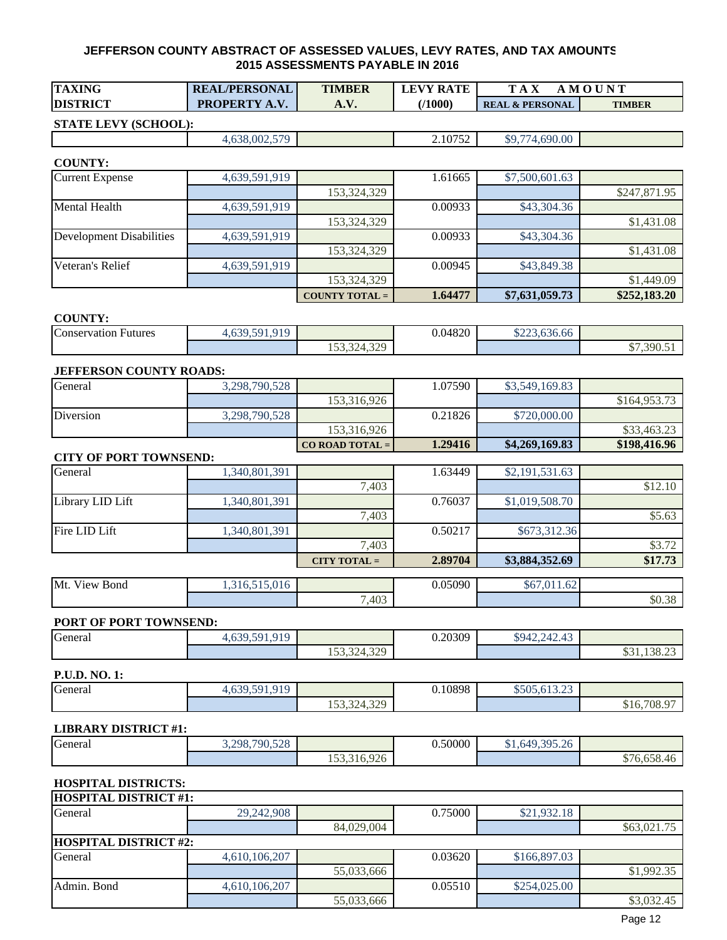| <b>TAXING</b>                   | <b>REAL/PERSONAL</b> | <b>TIMBER</b>         | <b>LEVY RATE</b> | <b>TAX</b><br><b>AMOUNT</b> |               |
|---------------------------------|----------------------|-----------------------|------------------|-----------------------------|---------------|
| <b>DISTRICT</b>                 | PROPERTY A.V.        | A.V.                  | (1000)           | <b>REAL &amp; PERSONAL</b>  | <b>TIMBER</b> |
| STATE LEVY (SCHOOL):            |                      |                       |                  |                             |               |
|                                 | 4,638,002,579        |                       | 2.10752          | \$9,774,690.00              |               |
|                                 |                      |                       |                  |                             |               |
| <b>COUNTY:</b>                  |                      |                       |                  |                             |               |
| <b>Current Expense</b>          | 4,639,591,919        |                       | 1.61665          | \$7,500,601.63              |               |
|                                 |                      | 153,324,329           |                  |                             | \$247,871.95  |
| <b>Mental Health</b>            | 4,639,591,919        |                       | 0.00933          | \$43,304.36                 |               |
| <b>Development Disabilities</b> |                      | 153,324,329           | 0.00933          | \$43,304.36                 | \$1,431.08    |
|                                 | 4,639,591,919        | 153,324,329           |                  |                             | \$1,431.08    |
| Veteran's Relief                | 4,639,591,919        |                       | 0.00945          | \$43,849.38                 |               |
|                                 |                      | 153,324,329           |                  |                             | \$1,449.09    |
|                                 |                      | <b>COUNTY TOTAL =</b> | 1.64477          | \$7,631,059.73              | \$252,183.20  |
|                                 |                      |                       |                  |                             |               |
| <b>COUNTY:</b>                  |                      |                       |                  |                             |               |
| <b>Conservation Futures</b>     | 4,639,591,919        |                       | 0.04820          | \$223,636.66                |               |
|                                 |                      | 153,324,329           |                  |                             | \$7,390.51    |
| <b>JEFFERSON COUNTY ROADS:</b>  |                      |                       |                  |                             |               |
| General                         | 3,298,790,528        |                       | 1.07590          | \$3,549,169.83              |               |
|                                 |                      | 153,316,926           |                  |                             | \$164,953.73  |
| Diversion                       | 3,298,790,528        |                       | 0.21826          | \$720,000.00                |               |
|                                 |                      | 153,316,926           |                  |                             | \$33,463.23   |
|                                 |                      | CO ROAD TOTAL =       | 1.29416          | \$4,269,169.83              | \$198,416.96  |
| <b>CITY OF PORT TOWNSEND:</b>   |                      |                       |                  |                             |               |
| General                         | 1,340,801,391        |                       | 1.63449          | \$2,191,531.63              |               |
|                                 |                      | 7,403                 |                  |                             | \$12.10       |
| Library LID Lift                | 1,340,801,391        |                       | 0.76037          | \$1,019,508.70              |               |
|                                 |                      | 7,403                 |                  |                             | \$5.63        |
| Fire LID Lift                   | 1,340,801,391        |                       | 0.50217          | \$673,312.36                |               |
|                                 |                      | 7,403                 |                  |                             | \$3.72        |
|                                 |                      | $CITY TO TAL =$       | 2.89704          | \$3,884,352.69              | \$17.73       |
| Mt. View Bond                   | 1,316,515,016        |                       | 0.05090          | \$67,011.62                 |               |
|                                 |                      | 7,403                 |                  |                             | \$0.38        |
|                                 |                      |                       |                  |                             |               |
| PORT OF PORT TOWNSEND:          |                      |                       |                  |                             |               |
| General                         | 4,639,591,919        |                       | 0.20309          | \$942,242.43                |               |
|                                 |                      | 153,324,329           |                  |                             | \$31,138.23   |
| P.U.D. NO. 1:                   |                      |                       |                  |                             |               |
| General                         | 4,639,591,919        |                       | 0.10898          | \$505,613.23                |               |
|                                 |                      | 153,324,329           |                  |                             | \$16,708.97   |
|                                 |                      |                       |                  |                             |               |
| <b>LIBRARY DISTRICT #1:</b>     |                      |                       |                  |                             |               |
| General                         | 3,298,790,528        |                       | 0.50000          | \$1,649,395.26              |               |
|                                 |                      | 153,316,926           |                  |                             | \$76,658.46   |

## **HOSPITAL DISTRICTS:**

| <b>HOSPITAL DISTRICT #1:</b> |               |            |         |              |             |
|------------------------------|---------------|------------|---------|--------------|-------------|
| General                      | 29,242,908    |            | 0.75000 | \$21,932.18  |             |
|                              |               | 84,029,004 |         |              | \$63,021.75 |
| <b>HOSPITAL DISTRICT #2:</b> |               |            |         |              |             |
| General                      | 4,610,106,207 |            | 0.03620 | \$166,897.03 |             |
|                              |               | 55,033,666 |         |              | \$1,992.35  |
| Admin. Bond                  | 4,610,106,207 |            | 0.05510 | \$254,025.00 |             |
|                              |               | 55,033,666 |         |              | \$3,032.45  |
|                              |               |            |         |              |             |

٦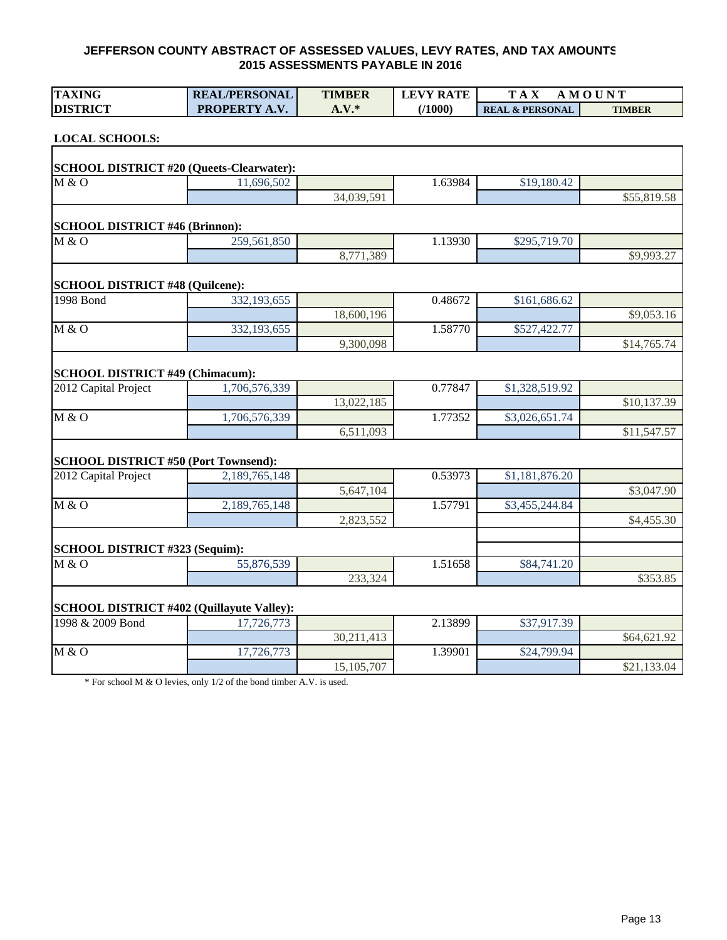| <b>TAXING</b>                                    | <b>REAL/PERSONAL</b> | <b>TIMBER</b> | <b>LEVY RATE</b> | <b>TAX</b>                 | <b>AMOUNT</b> |
|--------------------------------------------------|----------------------|---------------|------------------|----------------------------|---------------|
| <b>DISTRICT</b>                                  | PROPERTY A.V.        | $A.V.*$       | (1000)           | <b>REAL &amp; PERSONAL</b> | <b>TIMBER</b> |
| <b>LOCAL SCHOOLS:</b>                            |                      |               |                  |                            |               |
| <b>SCHOOL DISTRICT #20 (Queets-Clearwater):</b>  |                      |               |                  |                            |               |
| M & O                                            | 11,696,502           |               | 1.63984          | \$19,180.42                |               |
|                                                  |                      | 34,039,591    |                  |                            | \$55,819.58   |
| <b>SCHOOL DISTRICT #46 (Brinnon):</b>            |                      |               |                  |                            |               |
| M & O                                            | 259,561,850          |               | 1.13930          | \$295,719.70               |               |
|                                                  |                      | 8,771,389     |                  |                            | \$9,993.27    |
| <b>SCHOOL DISTRICT #48 (Quilcene):</b>           |                      |               |                  |                            |               |
| <b>1998 Bond</b>                                 | 332,193,655          |               | 0.48672          | \$161,686.62               |               |
|                                                  |                      | 18,600,196    |                  |                            | \$9,053.16    |
| M & O                                            | 332,193,655          |               | 1.58770          | \$527,422.77               |               |
|                                                  |                      | 9,300,098     |                  |                            | \$14,765.74   |
| <b>SCHOOL DISTRICT #49 (Chimacum):</b>           |                      |               |                  |                            |               |
| 2012 Capital Project                             | 1,706,576,339        |               | 0.77847          | \$1,328,519.92             |               |
|                                                  |                      | 13,022,185    |                  |                            | \$10,137.39   |
| M & O                                            | 1,706,576,339        |               | 1.77352          | \$3,026,651.74             |               |
|                                                  |                      | 6,511,093     |                  |                            | \$11,547.57   |
| <b>SCHOOL DISTRICT #50 (Port Townsend):</b>      |                      |               |                  |                            |               |
| 2012 Capital Project                             | 2,189,765,148        |               | 0.53973          | \$1,181,876.20             |               |
|                                                  |                      | 5,647,104     |                  |                            | \$3,047.90    |
| M & O                                            | 2,189,765,148        |               | 1.57791          | \$3,455,244.84             |               |
|                                                  |                      | 2,823,552     |                  |                            | \$4,455.30    |
| SCHOOL DISTRICT #323 (Sequim):                   |                      |               |                  |                            |               |
| M & O                                            | 55,876,539           |               | 1.51658          | \$84,741.20                |               |
|                                                  |                      | 233,324       |                  |                            | \$353.85      |
| <b>SCHOOL DISTRICT #402 (Quillayute Valley):</b> |                      |               |                  |                            |               |
| 1998 & 2009 Bond                                 | 17,726,773           |               | 2.13899          | \$37,917.39                |               |
|                                                  |                      | 30,211,413    |                  |                            | \$64,621.92   |
| M & O                                            | 17,726,773           |               | 1.39901          | \$24,799.94                |               |
|                                                  |                      | 15,105,707    |                  |                            | \$21,133.04   |

\* For school M & O levies, only 1/2 of the bond timber A.V. is used.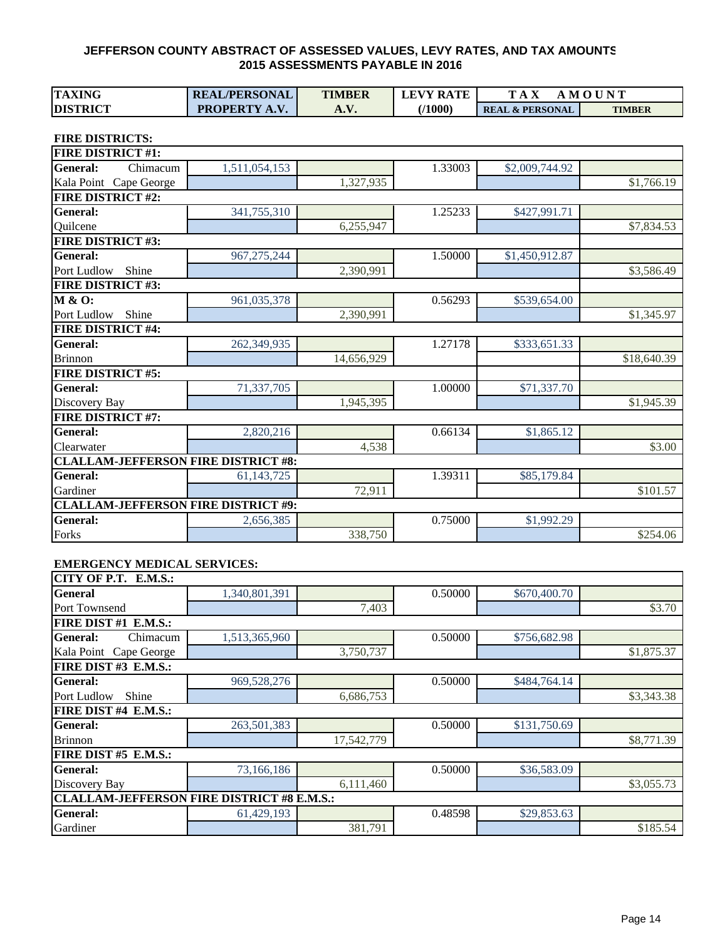| <b>TAXING</b>                              | <b>REAL/PERSONAL</b> | <b>TIMBER</b> | <b>LEVY RATE</b> | <b>TAX</b>                 | <b>AMOUNT</b> |
|--------------------------------------------|----------------------|---------------|------------------|----------------------------|---------------|
| <b>DISTRICT</b>                            | PROPERTY A.V.        | A.V.          | (1000)           | <b>REAL &amp; PERSONAL</b> | <b>TIMBER</b> |
|                                            |                      |               |                  |                            |               |
| <b>FIRE DISTRICTS:</b>                     |                      |               |                  |                            |               |
| <b>FIRE DISTRICT #1:</b>                   |                      |               |                  |                            |               |
| Chimacum<br><b>General:</b>                | 1,511,054,153        |               | 1.33003          | \$2,009,744.92             |               |
| Kala Point Cape George                     |                      | 1,327,935     |                  |                            | \$1,766.19    |
| <b>FIRE DISTRICT #2:</b>                   |                      |               |                  |                            |               |
| <b>General:</b>                            | 341,755,310          |               | 1.25233          | \$427,991.71               |               |
| Quilcene                                   |                      | 6,255,947     |                  |                            | \$7,834.53    |
| <b>FIRE DISTRICT #3:</b>                   |                      |               |                  |                            |               |
| General:                                   | 967, 275, 244        |               | 1.50000          | \$1,450,912.87             |               |
| Port Ludlow<br>Shine                       |                      | 2,390,991     |                  |                            | \$3,586.49    |
| <b>FIRE DISTRICT #3:</b>                   |                      |               |                  |                            |               |
| M & O:                                     | 961,035,378          |               | 0.56293          | \$539,654.00               |               |
| Port Ludlow<br>Shine                       |                      | 2,390,991     |                  |                            | \$1,345.97    |
| <b>FIRE DISTRICT #4:</b>                   |                      |               |                  |                            |               |
| <b>General:</b>                            | 262,349,935          |               | 1.27178          | \$333,651.33               |               |
| <b>Brinnon</b>                             |                      | 14,656,929    |                  |                            | \$18,640.39   |
| <b>FIRE DISTRICT #5:</b>                   |                      |               |                  |                            |               |
| General:                                   | 71,337,705           |               | 1.00000          | \$71,337.70                |               |
| Discovery Bay                              |                      | 1,945,395     |                  |                            | \$1,945.39    |
| <b>FIRE DISTRICT #7:</b>                   |                      |               |                  |                            |               |
| <b>General:</b>                            | 2,820,216            |               | 0.66134          | \$1,865.12                 |               |
| Clearwater                                 |                      | 4,538         |                  |                            | \$3.00        |
| <b>CLALLAM-JEFFERSON FIRE DISTRICT #8:</b> |                      |               |                  |                            |               |
| <b>General:</b>                            | 61, 143, 725         |               | 1.39311          | \$85,179.84                |               |
| Gardiner                                   |                      | 72,911        |                  |                            | \$101.57      |
| <b>CLALLAM-JEFFERSON FIRE DISTRICT #9:</b> |                      |               |                  |                            |               |
| General:                                   | 2,656,385            |               | 0.75000          | \$1,992.29                 |               |
| Forks                                      |                      | 338,750       |                  |                            | \$254.06      |

#### **EMERGENCY MEDICAL SERVICES:**

| CITY OF P.T. E.M.S.:                              |               |            |         |              |            |
|---------------------------------------------------|---------------|------------|---------|--------------|------------|
| <b>General</b>                                    | 1,340,801,391 |            | 0.50000 | \$670,400.70 |            |
| Port Townsend                                     |               | 7,403      |         |              | \$3.70     |
| FIRE DIST #1 E.M.S.:                              |               |            |         |              |            |
| <b>General:</b><br>Chimacum                       | 1,513,365,960 |            | 0.50000 | \$756,682.98 |            |
| Kala Point Cape George                            |               | 3,750,737  |         |              | \$1,875.37 |
| FIRE DIST #3 E.M.S.:                              |               |            |         |              |            |
| <b>General:</b>                                   | 969,528,276   |            | 0.50000 | \$484,764.14 |            |
| Port Ludlow<br>Shine                              |               | 6,686,753  |         |              | \$3,343.38 |
| FIRE DIST #4 E.M.S.:                              |               |            |         |              |            |
| <b>General:</b>                                   | 263,501,383   |            | 0.50000 | \$131,750.69 |            |
| <b>Brinnon</b>                                    |               | 17,542,779 |         |              | \$8,771.39 |
| FIRE DIST #5 E.M.S.:                              |               |            |         |              |            |
| <b>General:</b>                                   | 73,166,186    |            | 0.50000 | \$36,583.09  |            |
| Discovery Bay                                     |               | 6,111,460  |         |              | \$3,055.73 |
| <b>CLALLAM-JEFFERSON FIRE DISTRICT #8 E.M.S.:</b> |               |            |         |              |            |
| <b>General:</b>                                   | 61,429,193    |            | 0.48598 | \$29,853.63  |            |
| Gardiner                                          |               | 381,791    |         |              | \$185.54   |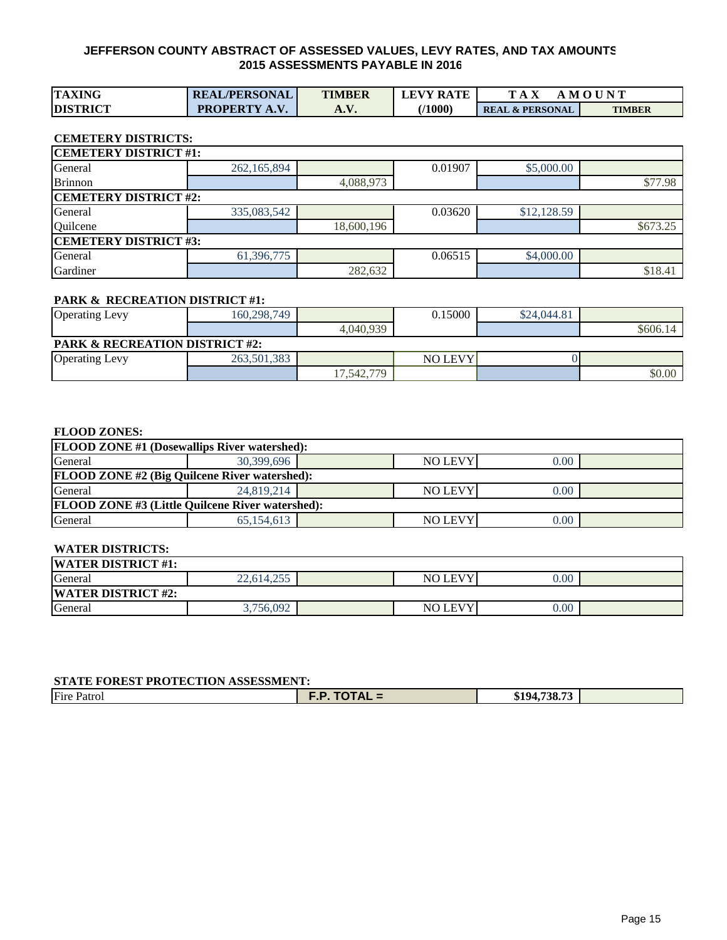| <b>TAXING</b>   | <b>REAL/PERSONAL</b> | <b>TIMBER</b> | <b>LEVY RATE</b> | T A X                      | AMOUNT        |
|-----------------|----------------------|---------------|------------------|----------------------------|---------------|
| <b>DISTRICT</b> | <b>PROPERTY A.V.</b> | A. V.         | 71000)           | <b>REAL &amp; PERSONAL</b> | <b>TIMBER</b> |

#### **CEMETERY DISTRICTS:**

| <b>CEMETERY DISTRICT #1:</b> |               |            |         |             |          |  |  |  |  |  |  |  |
|------------------------------|---------------|------------|---------|-------------|----------|--|--|--|--|--|--|--|
| General                      | 262, 165, 894 |            | 0.01907 | \$5,000.00  |          |  |  |  |  |  |  |  |
| <b>Brinnon</b>               |               | 4,088,973  |         |             | \$77.98  |  |  |  |  |  |  |  |
| <b>CEMETERY DISTRICT #2:</b> |               |            |         |             |          |  |  |  |  |  |  |  |
| General                      | 335,083,542   |            | 0.03620 | \$12,128.59 |          |  |  |  |  |  |  |  |
| Quilcene                     |               | 18,600,196 |         |             | \$673.25 |  |  |  |  |  |  |  |
| <b>CEMETERY DISTRICT #3:</b> |               |            |         |             |          |  |  |  |  |  |  |  |
| General                      | 61,396,775    |            | 0.06515 | \$4,000.00  |          |  |  |  |  |  |  |  |
| Gardiner                     |               | 282,632    |         |             | \$18.41  |  |  |  |  |  |  |  |

#### **PARK & RECREATION DISTRICT #1:**

| <b>Operating Levy</b>                     | 160.298.749 |             | 0.15000        | \$24,044.81 |          |  |  |  |  |
|-------------------------------------------|-------------|-------------|----------------|-------------|----------|--|--|--|--|
|                                           |             | 4.040.939   |                |             | \$606.14 |  |  |  |  |
| <b>PARK &amp; RECREATION DISTRICT #2:</b> |             |             |                |             |          |  |  |  |  |
| <b>Operating Levy</b>                     | 263,501,383 |             | <b>NO LEVY</b> |             |          |  |  |  |  |
|                                           |             | 17,542,779. |                |             | \$0.00   |  |  |  |  |

#### **FLOOD ZONES:**

| <b>FLOOD ZONE #1 (Dosewallips River watershed):</b>     |            |                        |                |      |  |  |  |  |  |  |  |
|---------------------------------------------------------|------------|------------------------|----------------|------|--|--|--|--|--|--|--|
| General                                                 | 30,399,696 | <b>NO LEVY</b><br>0.00 |                |      |  |  |  |  |  |  |  |
| <b>FLOOD ZONE #2 (Big Quilcene River watershed):</b>    |            |                        |                |      |  |  |  |  |  |  |  |
| General                                                 | 24,819,214 |                        | <b>NO LEVY</b> | 0.00 |  |  |  |  |  |  |  |
| <b>FLOOD ZONE #3 (Little Quilcene River watershed):</b> |            |                        |                |      |  |  |  |  |  |  |  |
| General                                                 | 65.154.613 |                        | <b>NO LEVY</b> | 0.00 |  |  |  |  |  |  |  |

#### **WATER DISTRICTS:**

| <b>WATER DISTRICT #1:</b> |                   |                |      |  |
|---------------------------|-------------------|----------------|------|--|
| General                   | 255<br>22.614.255 | <b>NO LEVY</b> | 0.00 |  |
| <b>WATER DISTRICT #2:</b> |                   |                |      |  |
| General                   | 3,756,092         | <b>NO LEVY</b> | 0.00 |  |

#### **STATE FOREST PROTECTION ASSESSMENT:**

| Fire<br>Patron | Ð<br>$\cdot$ JIAL =<br>. | \$194.738.73 |  |  |  |  |  |  |  |  |
|----------------|--------------------------|--------------|--|--|--|--|--|--|--|--|
|                |                          |              |  |  |  |  |  |  |  |  |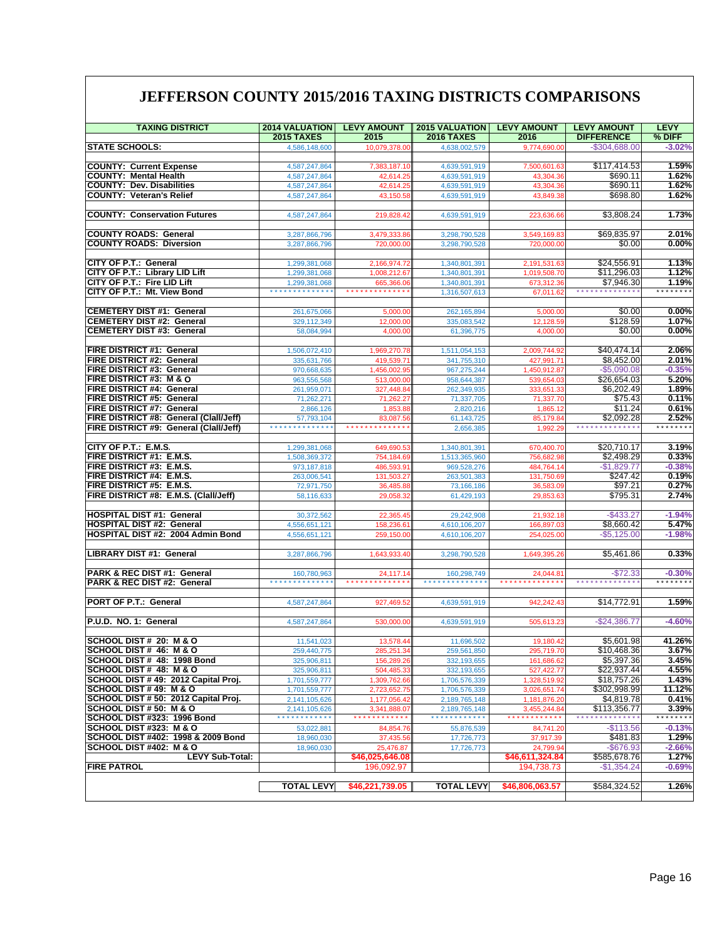## **JEFFERSON COUNTY 2015/2016 TAXING DISTRICTS COMPARISONS**

| <b>TAXING DISTRICT</b>                                              | <b>2014 VALUATION</b><br><b>2015 TAXES</b>   | <b>LEVY AMOUNT</b><br>2015             | <b>2015 VALUATION</b><br><b>2016 TAXES</b> | <b>LEVY AMOUNT</b><br>2016   | <b>LEVY AMOUNT</b><br><b>DIFFERENCE</b> | <b>LEVY</b><br>% DIFF       |
|---------------------------------------------------------------------|----------------------------------------------|----------------------------------------|--------------------------------------------|------------------------------|-----------------------------------------|-----------------------------|
| <b>STATE SCHOOLS:</b>                                               | 4,586,148,600                                | 10,079,378.00                          | 4,638,002,579                              | 9,774,690.00                 | $-$304,688.00$                          | $-3.02%$                    |
|                                                                     |                                              |                                        |                                            |                              |                                         |                             |
| <b>COUNTY: Current Expense</b>                                      | 4,587,247,864                                | 7,383,187.10                           | 4,639,591,919                              | 7,500,601.63                 | \$117,414.53                            | 1.59%                       |
| <b>COUNTY: Mental Health</b>                                        | 4,587,247,864                                | 42,614.25                              | 4,639,591,919                              | 43,304.36                    | \$690.11                                | 1.62%                       |
| <b>COUNTY: Dev. Disabilities</b><br><b>COUNTY: Veteran's Relief</b> | 4,587,247,864                                | 42,614.25                              | 4,639,591,919                              | 43,304.36                    | \$690.11<br>\$698.80                    | 1.62%<br>1.62%              |
|                                                                     | 4,587,247,864                                | 43,150.58                              | 4,639,591,919                              | 43,849.38                    |                                         |                             |
| <b>COUNTY: Conservation Futures</b>                                 | 4,587,247,864                                | 219,828.42                             | 4,639,591,919                              | 223,636.66                   | \$3,808.24                              | 1.73%                       |
| <b>COUNTY ROADS: General</b>                                        | 3,287,866,796                                | 3,479,333.8                            | 3,298,790,528                              | 3,549,169.8                  | \$69,835.97                             | 2.01%                       |
| <b>COUNTY ROADS: Diversion</b>                                      | 3,287,866,796                                | 720,000.00                             | 3,298,790,528                              | 720,000.00                   | \$0.00                                  | $0.00\%$                    |
|                                                                     |                                              |                                        |                                            |                              |                                         |                             |
| <b>CITY OF P.T.: General</b>                                        | 1,299,381,068                                | 2,166,974.72                           | 1,340,801,391                              | 2,191,531.63                 | \$24,556.91                             | 1.13%                       |
| CITY OF P.T.: Library LID Lift                                      | 1,299,381,068                                | 1,008,212.67                           | 1,340,801,391                              | 1,019,508.70                 | \$11,296.03                             | 1.12%                       |
| CITY OF P.T.: Fire LID Lift                                         | 1,299,381,068<br>* * * * * * * * * * * * * * | 665,366.06<br>*************            | 1,340,801,391                              | 673,312.36                   | \$7,946.30<br>**************            | 1.19%<br>* * * * * * * *    |
| CITY OF P.T.: Mt. View Bond                                         |                                              |                                        | 1,316,507,613                              | 67,011.62                    |                                         |                             |
| <b>CEMETERY DIST #1: General</b>                                    | 261,675,066                                  | 5,000.00                               | 262, 165, 894                              | 5,000.00                     | \$0.00                                  | 0.00%                       |
| <b>CEMETERY DIST #2: General</b>                                    | 329,112,349                                  | 12,000.00                              | 335,083,542                                | 12,128.59                    | \$128.59                                | 1.07%                       |
| <b>CEMETERY DIST #3: General</b>                                    | 58,084,994                                   | 4,000.00                               | 61,396,775                                 | 4,000.00                     | \$0.00                                  | $0.00\%$                    |
|                                                                     |                                              |                                        |                                            |                              |                                         |                             |
| FIRE DISTRICT #1: General<br><b>FIRE DISTRICT #2: General</b>       | 1,506,072,410<br>335,631,766                 | 1,969,270.78<br>419,539.71             | 1,511,054,153<br>341,755,310               | 2,009,744.92<br>427,991.71   | \$40,474.14<br>\$8,452.00               | 2.06%<br>2.01%              |
| <b>FIRE DISTRICT #3: General</b>                                    | 970,668,635                                  | 1,456,002.9                            | 967,275,244                                | 1,450,912.87                 | $-$5,090.08$                            | $-0.35%$                    |
| FIRE DISTRICT #3: M & O                                             | 963,556,568                                  | 513,000.00                             | 958,644,387                                | 539,654.03                   | \$26,654.03                             | 5.20%                       |
| FIRE DISTRICT #4: General                                           | 261,959,071                                  | 327,448.84                             | 262,349,935                                | 333,651.33                   | \$6,202.49                              | 1.89%                       |
| <b>FIRE DISTRICT #5: General</b>                                    | 71,262,271                                   | 71,262.27                              | 71,337,705                                 | 71,337.70                    | \$75.43                                 | 0.11%                       |
| <b>FIRE DISTRICT #7: General</b>                                    | 2,866,126                                    | 1,853.88                               | 2,820,216                                  | 1,865.12                     | \$11.24                                 | 0.61%                       |
| FIRE DISTRICT #8: General (Clall/Jeff)                              | 57,793,104<br>**************                 | 83,087.56<br>* * * * * * * * * * * * * | 61,143,725                                 | 85,179.84                    | \$2,092.28<br>**************            | 2.52%<br>* * * * * * * *    |
| FIRE DISTRICT #9: General (Clall/Jeff)                              |                                              |                                        | 2,656,385                                  | 1,992.29                     |                                         |                             |
| CITY OF P.T.: E.M.S.                                                | 1,299,381,068                                | 649,690.5                              | 1,340,801,391                              | 670,400.70                   | \$20,710.17                             | 3.19%                       |
| FIRE DISTRICT #1: E.M.S.                                            | 1,508,369,372                                | 754,184.69                             | 1,513,365,960                              | 756,682.98                   | \$2,498.29                              | 0.33%                       |
| FIRE DISTRICT #3: E.M.S.                                            | 973,187,818                                  | 486,593.91                             | 969,528,276                                | 484,764.14                   | $-$1,829.77$                            | $-0.38%$                    |
| FIRE DISTRICT #4: E.M.S.                                            | 263,006,541                                  | 131,503.27                             | 263,501,383                                | 131,750.69                   | \$247.42                                | 0.19%                       |
| FIRE DISTRICT #5: E.M.S.                                            | 72,971,750                                   | 36,485.88                              | 73,166,186                                 | 36,583.09                    | \$97.21                                 | 0.27%                       |
| FIRE DISTRICT #8: E.M.S. (Clall/Jeff)                               | 58,116,633                                   | 29,058.3                               | 61,429,193                                 | 29,853.63                    | \$795.31                                | 2.74%                       |
| <b>HOSPITAL DIST #1: General</b>                                    | 30,372,562                                   | 22,365.45                              | 29,242,908                                 | 21,932.18                    | $-$433.27$                              | $-1.94%$                    |
| <b>HOSPITAL DIST #2: General</b>                                    | 4,556,651,121                                | 158,236.61                             | 4,610,106,207                              | 166,897.03                   | \$8,660.42                              | 5.47%                       |
| HOSPITAL DIST #2: 2004 Admin Bond                                   | 4,556,651,121                                | 259,150.00                             | 4,610,106,207                              | 254,025.00                   | $-$5,125.00$                            | $-1.98%$                    |
| LIBRARY DIST #1: General                                            | 3,287,866,796                                | 1,643,933.40                           | 3,298,790,528                              | 1,649,395.26                 | \$5,461.86                              | 0.33%                       |
|                                                                     |                                              |                                        |                                            |                              |                                         |                             |
| PARK & REC DIST #1: General<br>PARK & REC DIST #2: General          | 160,780,963<br>**************                | 24,117.14<br>*************             | 160,298,749<br>**************              | 24,044.81<br>*************   | $-$72.33$<br>**************             | $-0.30%$<br>* * * * * * * * |
|                                                                     |                                              |                                        |                                            |                              |                                         |                             |
| PORT OF P.T.: General                                               | 4,587,247,864                                | 927,469.52                             | 4,639,591,919                              | 942,242.43                   | \$14,772.91                             | 1.59%                       |
|                                                                     |                                              |                                        |                                            |                              |                                         |                             |
| P.U.D. NO. 1: General                                               | 4.587.247.864                                | 530,000.00                             | 4,639,591,919                              | 505,613.2                    | $-$ \$24.386.77                         | $-4.60%$                    |
| SCHOOL DIST # 20: M & O                                             | 11.541.023                                   | 13,578.44                              | 11,696,502                                 | 19,180.42                    | \$5,601.98                              | 41.26%                      |
| SCHOOL DIST # 46: M & O                                             | 259,440,775                                  | 285,251.34                             | 259,561,850                                | 295,719.70                   | \$10,468.36                             | 3.67%                       |
| SCHOOL DIST # 48: 1998 Bond                                         | 325,906,811                                  | 156,289.26                             | 332, 193, 655                              | 161,686.62                   | \$5,397.36                              | 3.45%                       |
| <b>SCHOOL DIST # 48: M &amp; O</b>                                  | 325,906,811                                  | 504,485.33                             | 332, 193, 655                              | 527,422.77<br>1,328,519.92   | \$22,937.44                             | 4.55%<br>1.43%              |
| SCHOOL DIST # 49: 2012 Capital Proj.<br>SCHOOL DIST #49: M & O      | 1,701,559,777<br>1,701,559,777               | 1,309,762.66<br>2,723,652.75           | 1,706,576,339<br>1,706,576,339             | 3,026,651.74                 | \$18,757.26<br>\$302,998.99             | 11.12%                      |
| SCHOOL DIST # 50: 2012 Capital Proj.                                | 2,141,105,626                                | 1,177,056.42                           | 2,189,765,148                              | 1,181,876.20                 | \$4,819.78                              | 0.41%                       |
| <b>SCHOOL DIST #50: M &amp; O</b>                                   | 2,141,105,626                                | 3,341,888.07                           | 2,189,765,148                              | 3,455,244.8                  | \$113,356.77                            | 3.39%                       |
| <b>SCHOOL DIST #323: 1996 Bond</b>                                  | * * * * * * * * * * * *                      | ************                           | * * * * * * * * * * * *                    | * * * * * * * * * * * *      | **************                          | ********                    |
| <b>SCHOOL DIST #323: M &amp; O</b>                                  | 53,022,881                                   | 84,854.76                              | 55,876,539                                 | 84,741.20                    | $-$113.56$                              | $-0.13%$                    |
| SCHOOL DIST #402: 1998 & 2009 Bond                                  | 18,960,030                                   | 37,435.56                              | 17,726,773                                 | 37,917.39                    | \$481.83                                | 1.29%                       |
| SCHOOL DIST #402: M & O<br><b>LEVY Sub-Total:</b>                   | 18,960,030                                   | 25,476.87<br>\$46,025,646.08           | 17,726,773                                 | 24,799.94<br>\$46,611,324.84 | $-$676.93$<br>\$585,678.76              | $-2.66%$<br>1.27%           |
| <b>FIRE PATROL</b>                                                  |                                              | 196,092.97                             |                                            | 194,738.73                   | $-$1,354.24$                            | $-0.69%$                    |
|                                                                     |                                              |                                        |                                            |                              |                                         |                             |
|                                                                     | <b>TOTAL LEVY</b>                            | \$46,221,739.05                        | <b>TOTAL LEVY</b>                          | \$46,806,063.57              | \$584,324.52                            | 1.26%                       |